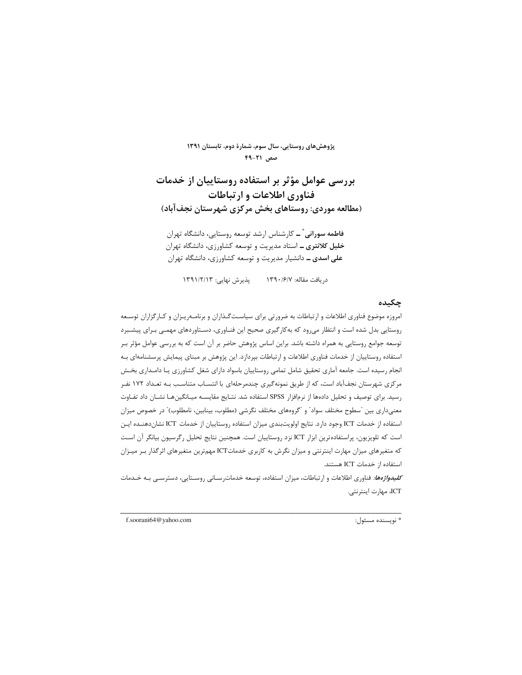پژوهشهای روستایی، سال سوم، شمارهٔ دوم، تابستان ۱۳۹۱  $F9 - T1$  صص

بررسی عوامل مؤثر بر استفاده روستاییان از خدمات فناوری اطلاعات و ارتباطات (مطالعه موردی: روستاهای بخش مرکزی شهرستان نجفآباد)

**فاطمه سورانی ٌ ــ** کارشناس ارشد توسعه روستایی، دانشگاه تهران **خلیل کلانتری ــ** استاد مدیریت و توسعه کشاورزی، دانشگاه تهران علی اسدی ــ دانشیار مدیریت و توسعه کشاورزی، دانشگاه تهران

دريافت مقاله: ١٣٩٠/٤/٧ هـ دريافت مقاليي: ١٣٩١/٢/١٣

#### حكىدە

امروزه موضوع فناوري اطلاعات و ارتباطات به ضرورتي براي سياست گـذاران و برنامـهريـزان و كـارگزاران توسـعه روستایی بدل شده است و انتظار میرود که بهکارگیری صحیح این فنـاوری، دسـتاوردهای مهمـی بـرای پیشـبرد توسعه جوامع روستایی به همراه داشته باشد. براین اساس پژوهش حاضر بر آن است که به بررسی عوامل مؤثر بـر استفاده روستاییان از خدمات فناوری اطلاعات و ارتباطات بیردازد. این پژوهش بر مبنای پیمایش پرسشنامهای بـه انجام رسیده است. جامعه آماری تحقیق شامل تمامی روستاییان باسواد دارای شغل کشاورزی یـا دامـداری بخـش مرکزی شهرستان نجفآباد است، که از طریق نمونهگیری چندمرحلهای با انتسـاب متناسـب بـه تعـداد ۱۷۲ نفـر رسید. برای توصیف و تحلیل دادهها از نرمافزار SPSS استفاده شد. نتـایج مقایسـه میـانگینهـا نشـان داد تفـاوت معنیداری بین "سطوح مختلف سواد" و "گروههای مختلف نگرشی (مطلوب، بینابین، نامطلوب)" در خصوص میزان استفاده از خدمات ICT وجود دارد. نتايج اولويتبندي ميزان استفاده روستاييان از خدمات ICT نشان دهنـده ايـن است كه تلويزيون، پراستفادهترين ابزار ICT نزد روستاييان است. همچنين نتايج تحليل رگرسيون بيانگر آن است که متغیرهای میزان مهارت اینترنتی و میزان نگرش به کاربری خدماتICT مهم ترین متغیرهای اثرگذار بـر میـزان استفاده از خدمات ICT هستند.

*کلیدواژهها:* فناوری اطلاعات و ارتباطات، میزان استفاده، توسعه خدماترسـانی روسـتایی، دسترسـی بـه خـدمات ICT، مهارت اينترنتي.

f.soorani64@yahoo.com

\* نويسنده مسئول: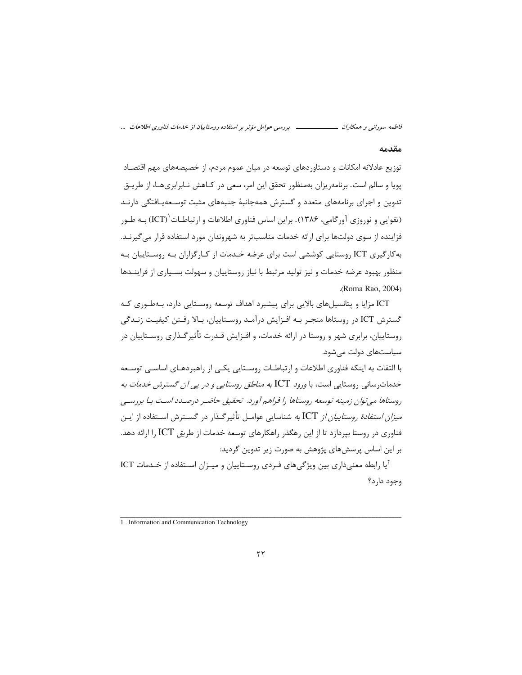فاطمه سورانی و همکاران ــــــــــــــــــ بررسی عوامل مؤثر بر استفاده روستاییان از خدمات فناوری اطلاعات ...

#### مقدمه

توزیع عادلانه امکانات و دستاوردهای توسعه در میان عموم مردم، از خصیصههای مهم اقتصـاد یویا و سالم است. برنامهریزان بهمنظور تحقق این امر، سعی در کـاهش نـابرابریهـا، از طریــق تدوین و اجرای برنامههای متعدد و گسترش همهجانبهٔ جنبههای مثبت توسـعه<code>یـافتگ</code> ادارنـد (تقوایی و نوروزی آورگامی، ۱۳۸۶). براین اساس فناوری اطلاعات و ارتباطــات (ICT) بــه طــور فزاینده از سوی دولتها برای ارائه خدمات مناسبتر به شهروندان مورد استفاده قرار می گیرنـد. به کارگیری ICT روستایی کوششی است برای عرضه خـدمات از کـارگزاران بـه روسـتاییان بـه منظور بهبود عرضه خدمات و نیز تولید مرتبط با نیاز روستاییان و سهولت بسـیاری از فراینــدها .(Roma Rao, 2004)

ICT مزایا و پتانسیلهای بالایی برای پیشبرد اهداف توسعه روسـتایی دارد، بـهطـوری کـه گسترش ICT در روستاها منجـر بـه افـزايش درآمـد روسـتاييان، بـالا رفـتن كيفيـت زنـدگي روستاییان، برابری شهر و روستا در ارائه خدمات، و افـزایش قـدرت تأثیر گـذاری روسـتاییان در سیاستهای دولت میشود.

با التفات به اینکه فناوری اطلاعات و ارتباطـات روسـتایی یکـی از راهبردهـای اساسـی توسـعه خدمات رسانی روستایی است، با *ورود ICT به مناطق روستایی و در یی آن گسترش خدمات به* روستاها می توان زمینه توسعه روستاها را فراهم آورد. تحقیق حاضیر درصیدد است بیا بررسبی *میزان استفادهٔ روستاییان از* ICT به شناسایی عوامــل تأثیرگــذار در گســترش اســتفاده از ایــن فناوری در روستا بیردازد تا از این رهگذر راهکارهای توسعه خدمات از طر*یق* ICT را ارائه دهد. بر این اساس پرسشهای پژوهش به صورت زیر تدوین گردید:

آبا رابطه معنے داری بین ویژگے های فیردی روستاییان و مییزان استفاده از خیدمات ICT وجود دارد؟

<sup>1.</sup> Information and Communication Technology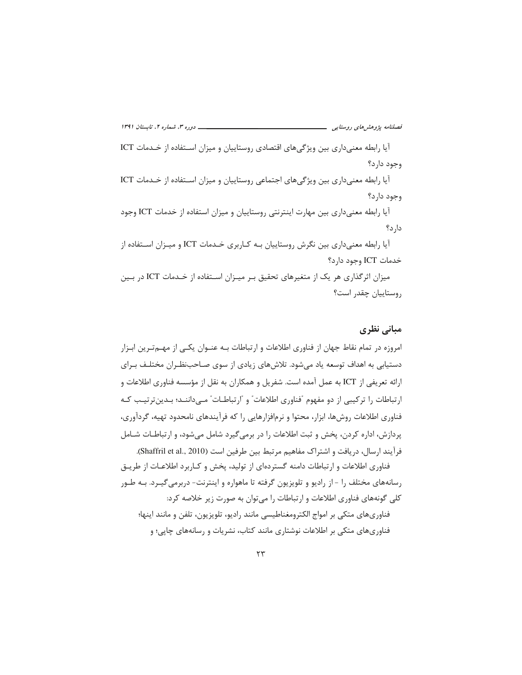آیا رابطه معنیداری بین ویژگیهای اقتصادی روستاییان و میزان استفاده از خدمات ICT وجود دارد؟

آیا رابطه معنیداری بین ویژگیهای اجتماعی روستاییان و میزان استفاده از خدمات ICT وجود دارد؟

آیا رابطه معنی داری بین مهارت اینترنتی روستاییان و میزان استفاده از خدمات ICT وجود دار د؟

آیا رابطه معنیداری بین نگرش روستاییان بـه كـاربری خـدمات ICT و میـزان اسـتفاده از خدمات ICT وجود دارد؟

میزان اثرگذاری هر یک از متغیرهای تحقیق بـر میـزان اسـتفاده از خـدمات ICT در بـین روستاييان چقدر است؟

# مبانی نظری

امروزه در تمام نقاط جهان از فناوری اطلاعات و ارتباطات بـه عنـوان یکـی از مهـمتـرین ابـزار دستیابی به اهداف توسعه یاد میشود. تلاشهای زیادی از سوی صـاحبنظـران مختلـف بـرای ارائه تعریفی از ICT به عمل آمده است. شفریل و همکاران به نقل از مؤسسه فناوری اطلاعات و ارتباطات را ترکیبی از دو مفهوم "فناوری اطلاعات" و "ارتباطـات" مـی‹داننـد؛ بـدینترتیـب کـه فناوري اطلاعات روشها، ابزار، محتوا و نرمافزارهايي را كه فرآيندهاي نامحدود تهيه، گردآوري، پردازش، اداره کردن، پخش و ثبت اطلاعات را در برمی گیرد شامل می شود، و ارتباطـات شـامل فرآيند ارسال، دريافت و اشتراك مفاهيم مرتبط بين طرفين است (Shaffril et al., 2010).

فناوری اطلاعات و ارتباطات دامنه گستردهای از تولید، پخش و کـاربرد اطلاعـات از طریـق رسانههای مختلف را – از رادیو و تلویزیون گرفته تا ماهواره و اینترنت- دربرمی گیـرد. بـه طـور کلی گونههای فناوری اطلاعات و ارتباطات را می توان به صورت زیر خلاصه کرد:

فناوریهای متکی بر امواج الکترومغناطیسی مانند رادیو، تلویزیون، تلفن و مانند اینها؛ فناوریهای متکی بر اطلاعات نوشتاری مانند کتاب، نشریات و رسانههای چاپی؛ و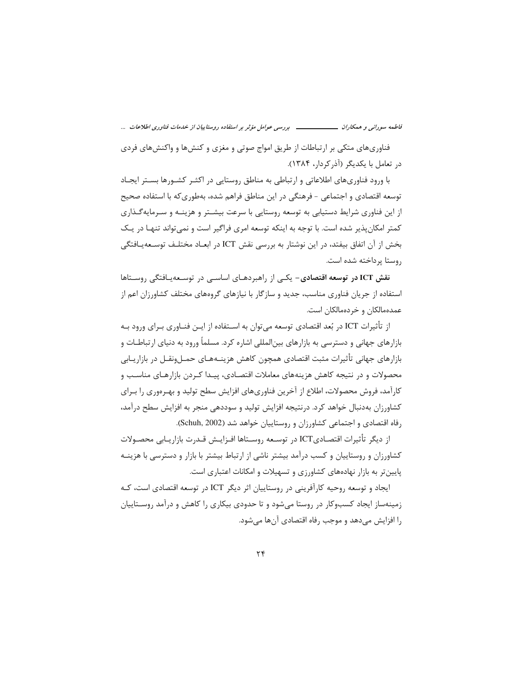فاطمه سورانی و همکاران ـــــــــــــــــــ بررسی عوامل مؤثر بر استفاده روستاییان از خدمات فناوری اطلاعات ...

فناوریهای متکی بر ارتباطات از طریق امواج صوتی و مغزی و کنشها و واکنشهای فردی در تعامل با یکدیگر (آذرکردار، ۱۳۸۴).

با ورود فناوریهای اطلاعاتی و ارتباطی به مناطق روستایی در اکثـر کشـورها بسـتر ایجـاد توسعه اقتصادی و اجتماعی - فرهنگی در این مناطق فراهم شده، بهطوری که با استفاده صحیح از این فناوری شرایط دستیابی به توسعه روستایی با سرعت بیشـتر و هزینـه و سـرمایهگـذاری کمتر امکان پذیر شده است. با توجه به اینکه توسعه امری فراگیر است و نمی تواند تنهـا در یـک بخش از آن اتفاق بیفتد، در این نوشتار به بررسی نقش ICT در ابعـاد مختلـف توسـعهیـافتگی روستا برداخته شده است.

نقش ICT در توسعه اقتصادی– یکی از راهبردهـای اساسـی در توسـعهیـافتگی روسـتاها استفاده از جریان فناوری مناسب، جدید و سازگار با نیازهای گروههای مختلف کشاورزان اعم از عمدهمالکان و خردهمالکان است.

از تأثیرات ICT در بُعد اقتصادی توسعه می¤وان به اســتفاده از ایــن فنــاوری بــرای ورود بــه بازارهای جهانی و دسترسی به بازارهای بین|لمللی اشاره کرد. مسلماً ورود به دنیای ارتباطـات و بازارهای جهانی تأثیرات مثبت اقتصادی همچون کاهش هزینــههـای حمــلونقــل در بازاریــابی محصولات و در نتیجه کاهش هزینههای معاملات اقتصـادی، پیـدا کـردن بازارهـای مناسـب و کارآمد، فروش محصولات، اطلاع از آخرین فناوریهای افزایش سطح تولید و بهـرەوری را بـرای کشاورزان بهدنبال خواهد کرد. درنتیجه افزایش تولید و سوددهی منجر به افزایش سطح درآمد، رفاه اقتصادی و اجتماعی کشاورزان و روستاییان خواهد شد (Schuh, 2002).

از ديگر تأثيرات اقتصاديICT در توسـعه روسـتاها افـزايـش قـدرت بازاريـابي محصـولات کشاورزان و روستاییان و کسب درآمد بیشتر ناشی از ارتباط بیشتر با بازار و دسترسی با هزینـه پایینتر به بازار نهادههای کشاورزی و تسهیلات و امکانات اعتباری است.

ایجاد و توسعه روحیه کارآفرینی در روستاییان اثر دیگر ICT در توسعه اقتصادی است، کـه زمینهساز ایجاد کسبوکار در روستا میشود و تا حدودی بیکاری را کاهش و درآمد روسـتاییان را افزایش میدهد و موجب رفاه اقتصادی آنها میشود.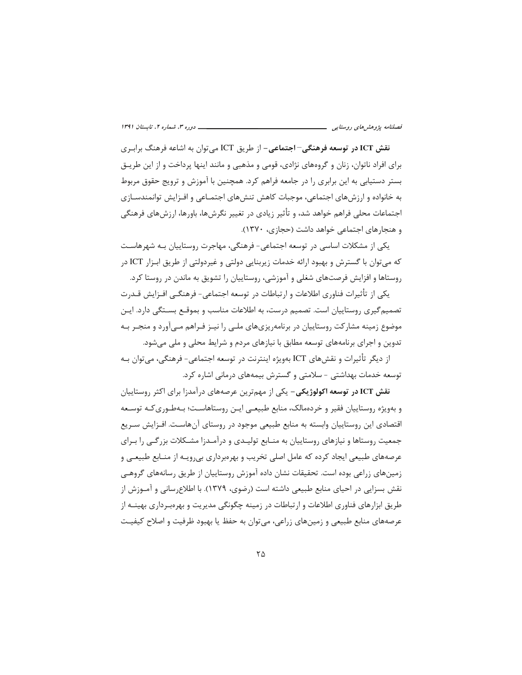نقش ICT **در توسعه فرهنگی–اجتماعی–** از طریق ICT میتوان به اشاعه فرهنگ برابـری برای افراد ناتوان، زنان و گروههای نژادی، قومی و مذهبی و مانند اینها پرداخت و از این طریـق بستر دستیابی به این برابری را در جامعه فراهم کرد. همچنین با آموزش و ترویج حقوق مربوط به خانواده و ارزشهای اجتماعی، موجبات کاهش تنشهای اجتمـاعی و افـزایش توانمندسـازی اجتماعات محلی فراهم خواهد شد، و تأثیر زیادی در تغییر نگرشها، باورها، ارزشهای فرهنگی و هنجارهای اجتماعی خواهد داشت (حجازی، ١٣٧٠).

یکی از مشکلات اساسی در توسعه اجتماعی- فرهنگی، مهاجرت روستاییان بـه شهرهاسـت که می توان با گسترش و بهبود ارائه خدمات زیربنایی دولتی و غیردولتی از طریق ابـزار ICT در روستاها و افزایش فرصتهای شغلی و آموزشی، روستاییان را تشویق به ماندن در روستا کرد.

یکی از تأثیرات فناوری اطلاعات و ارتباطات در توسعه اجتماعی- فرهنگـی افـزایش قـدرت تصمیم گیری روستاییان است. تصمیم درست، به اطلاعات مناسب و بموقــع بســتگی دارد. ایــن موضوع زمینه مشارکت روستاییان در برنامهریزیهای ملـی را نیـز فـراهم مـیآورد و منجـر بـه تدوین و اجرای برنامههای توسعه مطابق با نیازهای مردم و شرایط محلی و ملی میشود.

از دیگر تأثیرات و نقشهای ICT بهویژه اینترنت در توسعه اجتماعی- فرهنگی، میتوان بـه توسعه خدمات بهداشتی - سلامتی و گسترش بیمههای درمانی اشاره کرد.

**نقش ICT در توسعه اکولوژیکی**– یکی از مهمترین عرصههای درآمدزا برای اکثر روستاییان و بەويژە روستاييان فقير و خردەمالک، منابع طبيعے ايـن روستاھاسـت؛ بـەطـورى كـه توسـعه اقتصادی این روستاییان وابسته به منابع طبیعی موجود در روستای آنهاسـت. افـزایش سـریع جمعیت روستاها و نیازهای روستاییان به منـابع تولیـدی و درآمـدزا مشـكلات بزرگـی را بـرای عرصههای طبیعی ایجاد کرده که عامل اصلی تخریب و بهرهبرداری بی رویـه از منــابع طبیعــی و زمینهای زراعی بوده است. تحقیقات نشان داده آموزش روستاییان از طریق رسانههای گروهبی نقش بسزایی در احیای منابع طبیعی داشته است (رضوی، ۱۳۷۹). با اطلاع رسانی و آمـوزش از طریق ابزارهای فناوری اطلاعات و ارتباطات در زمینه چگونگی مدیریت و بهرهبـرداری بهینــه از عرصههای منابع طبیعی و زمینهای زراعی، می توان به حفظ یا بهبود ظرفیت و اصلاح کیفیـت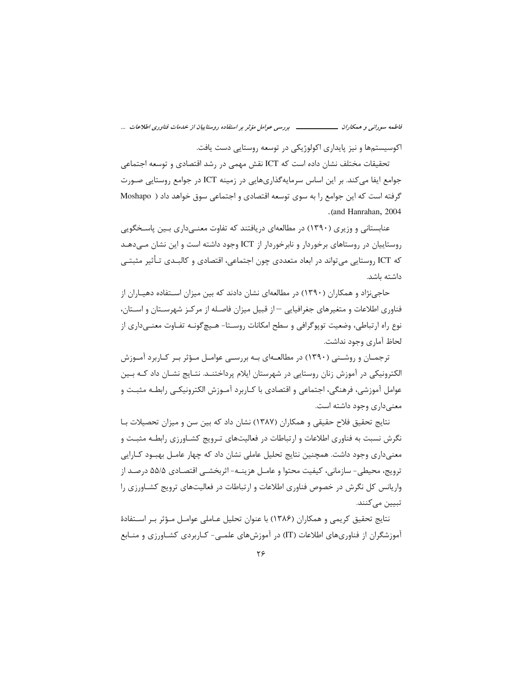فاطمه سورانی و همکاران ــــــــــــــــــ بررسی عوامل مؤثر بر استفاده روستاییان از خدمات فناوری اطلاعات ...

اکوسیستمها و نیز پایداری اکولوژیکی در توسعه روستایی دست یافت.

تحقیقات مختلف نشان داده است که ICT نقش مهمی در رشد اقتصادی و توسعه اجتماعی جوامع ایفا می کند. بر این اساس سرمایهگذاریهایی در زمینه ICT در جوامع روستایی صـورت گرفته است که این جوامع را به سوی توسعه اقتصادی و اجتماعی سوق خواهد داد ( Moshapo .(and Hanrahan, 2004)

عنابستانی و وزیری (۱۳۹۰) در مطالعهای دریافتند که تفاوت معنــی‹داری بــین پاسـخگویی روستاییان در روستاهای برخوردار و نابرخوردار از ICT وجود داشته است و این نشان مــیدهــد که ICT روستایی می¤واند در ابعاد متعددی چون اجتماعی، اقتصادی و کالبـدی تـأثیر مثبتـی داشته باشد.

حاجی;نژاد و همکاران (۱۳۹۰) در مطالعهای نشان دادند که بین میزان اسـتفاده دهیـاران از فناوری اطلاعات و متغیرهای جغرافیایی — از قبیل میزان فاصله از مرکـز شهرسـتان و اسـتان، نوع راه ارتباطي، وضعيت توپوگرافي و سطح امكانات روســتا- هـيچگونــه تفــاوت معنــي‹اري از لحاظ آماري وجود نداشت.

ترجمـان و روشـنی (۱۳۹۰) در مطالعــهای بـه بررسـی عوامـل مـؤثر بـر کـاربرد آمـوزش الکترونیکی در آموزش زنان روستایی در شهرستان ایلام پرداختنـد. نتـایج نشـان داد کـه بـین عوامل آموزشی، فرهنگی، اجتماعی و اقتصادی با کــاربرد آمــوزش الکترونیکــی رابطــه مثبــت و معنىدارى وجود داشته است.

نتايج تحقيق فلاح حقيقى و همكاران (١٣٨٧) نشان داد كه بين سن و ميزان تحصيلات بـا نگرش نسبت به فناوری اطلاعات و ارتباطات در فعالیتهای تـرویج کشـاورزی رابطـه مثبـت و معنیداری وجود داشت. همچنین نتایج تحلیل عاملی نشان داد که چهار عامـل بهبـود کـارایی ترويج، محيطي- سازماني، كيفيت محتوا و عامـل هزينــه- اثربخشــي اقتصـادي ۵۵/۵ درصـد از واریانس کل نگرش در خصوص فناوری اطلاعات و ارتباطات در فعالیتهای ترویج کشـاورزی را تبيين ميكنند.

نتايج تحقيق كريمي و همكاران (١٣٨۶) با عنوان تحليل عـاملي عوامـل مـؤثر بـر اسـتفادة آموزشگران از فناوریهای اطلاعات (IT) در آموزشهای علمـی- کـاربردی کشـاورزی و منـابع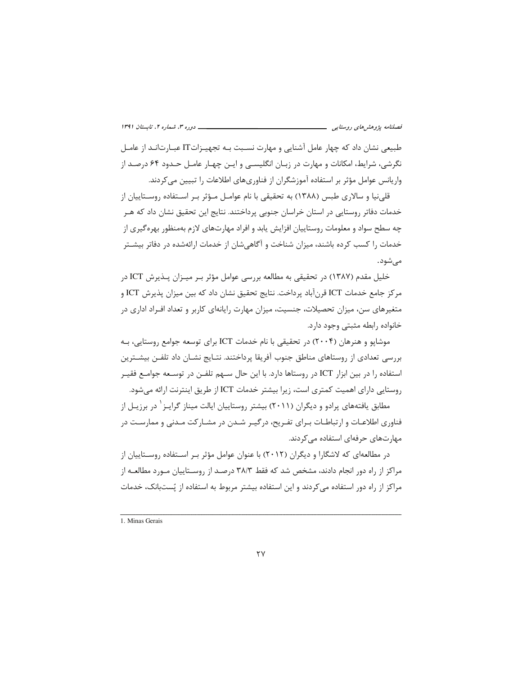طبیعی نشان داد که چهار عامل آشنایی و مهارت نسـبت بـه تجهیـزات∏ عبـارتانـد از عامـل نگرشی، شرایط، امکانات و مهارت در زبـان انگلیسـی و ایـن چهـار عامـل حـدود ۶۴ درصـد از واریانس عوامل مؤثر بر استفاده آموزشگران از فناوریهای اطلاعات را تبیین می کردند.

قلی نیا و سالاری طبس (۱۳۸۸) به تحقیقی با نام عوامـل مـؤثر بـر اسـتفاده روسـتاییان از خدمات دفاتر روستایی در استان خراسان جنوبی پرداختند. نتایج این تحقیق نشان داد که هـر چه سطح سواد و معلومات روستاییان افزایش یابد و افراد مهارتهای لازم بهمنظور بهرهگیری از خدمات را کسب کرده باشند، میزان شناخت و آگاهی شان از خدمات ارائهشده در دفاتر بیشـتر مے شود.

خلیل مقدم (۱۳۸۷) در تحقیقی به مطالعه بررسی عوامل مؤثر بـر میـزان پـذیرش ICT در مركز جامع خدمات ICT قرنآباد يرداخت. نتايج تحقيق نشان داد كه بين ميزان يذيرش ICT و متغیرهای سن، میزان تحصیلات، جنسیت، میزان مهارت رایانهای کاربر و تعداد افـراد اداری در خانواده رابطه مثبتي وجود دارد.

موشاپو و هنرهان (۲۰۰۴) در تحقیقی با نام خدمات ICT برای توسعه جوامع روستایی، بـه بررسی تعدادی از روستاهای مناطق جنوب آفریقا پرداختند. نتـایج نشـان داد تلفـن بیشـترین استفاده را در بین ابزار ICT در روستاها دارد. با این حال سـهم تلفـن در توسـعه جوامـع فقيـر روستايي داراي اهميت كمترى است، زيرا بيشتر خدمات ICT از طريق اينترنت ارائه مي شود.

مطابق یافتههای پرادو و دیگران (۲۰۱۱) بیشتر روستاییان ایالت میناز گرایـز <sup>۱</sup> در برزیـل از فناوری اطلاعـات و ارتباطـات بـرای تفـریح، درگیـر شـدن در مشـارکت مـدنی و ممارسـت در مهارتهای حرفهای استفاده می کردند.

در مطالعهای که لاشگارا و دیگران (۲۰۱۲) با عنوان عوامل مؤثر بـر اسـتفاده روسـتاییان از مراکز از راه دور انجام دادند، مشخص شد که فقط ۳۸/۳ درصـد از روسـتاییان مـورد مطالعـه از مراکز از راه دور استفاده میکردند و این استفاده بیشتر مربوط به استفاده از پُستبانک، خدمات

<sup>1.</sup> Minas Gerais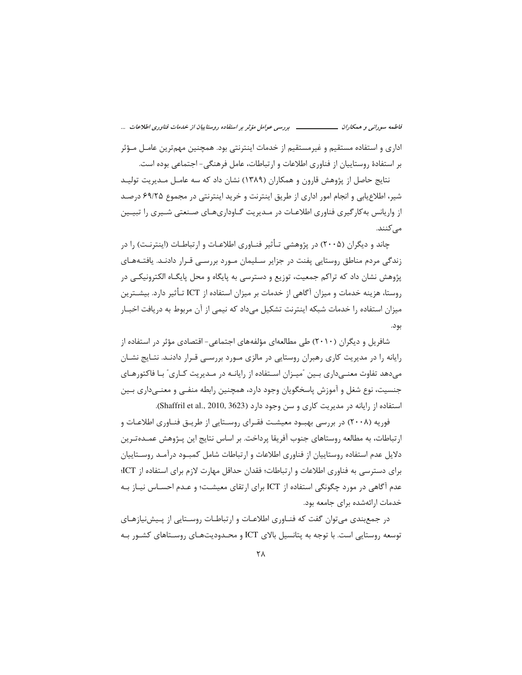فاطمه سورانی و همکاران ـــــــــــــــــــ بررسی عوامل مؤثر بر استفاده روستاییان از خدمات فناوری اطلاعات ...

اداری و استفاده مستقیم و غیرمستقیم از خدمات اینترنتی بود. همچنین مهمترین عامـل مـؤثر بر استفادهٔ روستاییان از فناوری اطلاعات و ارتباطات، عامل فرهنگی- اجتماعی بوده است.

نتایج حاصل از پژوهش قارون و همکاران (۱۳۸۹) نشان داد که سه عامـل مـدیریت تولیـد شیر، اطلاع یابی و انجام امور اداری از طریق اینترنت و خرید اینترنتی در مجموع ۶۹/۲۵ درصد از واریانس به کار گیری فناوری اطلاعـات در مـدیریت گــاوداریهـای صـنعتی شــیری را تبیــین مے کنند.

چاند و دیگران (۲۰۰۵) در پژوهشی تـأثیر فنـاوری اطلاعـات و ارتباطـات (اینترنـت) را در زندگی مردم مناطق روستایی یفنت در جزایر سـلیمان مـورد بررسـی قـرار دادنـد. یافتـههـای پژوهش نشان داد که تراکم جمعیت، توزیع و دسترسی به پایگاه و محل پایگـاه الکترونیکـی در روستا، هزینه خدمات و میزان آگاهی از خدمات بر میزان استفاده از ICT تـأثیر دارد. بیشــترین میزان استفاده را خدمات شبکه اینترنت تشکیل میداد که نیمی از آن مربوط به دریافت اخبـار بود.

شافریل و دیگران (۲۰۱۰) طی مطالعهای مؤلفههای اجتماعی- اقتصادی مؤثر در استفاده از رایانه را در مدیریت کاری رهبران روستایی در مالزی مـورد بررسـی قـرار دادنـد. نتـایج نشـان میدهد تفاوت معنـیداری بـین "میـزان اسـتفاده از رایانـه در مـدیریت کـاری" بـا فاکتورهـای جنسیت، نوع شغل و آموزش پاسخگویان وجود دارد، همچنین رابطه منفـی و معنـیداری بـین استفاده از رایانه در مدیریت کاری و سن وجود دارد (Shaffril et al., 2010, 3623).

فوریه (۲۰۰۸) در بررسی بهبـود معیشـت فقـرای روسـتایی از طریـق فنـاوری اطلاعـات و ارتباطات، به مطالعه روستاهای جنوب آفریقا پرداخت. بر اساس نتایج این پـژوهش عمـدهتـرین دلایل عدم استفاده روستاییان از فناوری اطلاعات و ارتباطات شامل کمبـود درآمـد روســتاییان برای دسترسی به فناوری اطلاعات و ارتباطات؛ فقدان حداقل مهارت لازم برای استفاده از ICT؛ عدم آگاهی در مورد چگونگی استفاده از ICT برای ارتقای معیشت؛ و عـدم احسـاس نیـاز بـه خدمات ارائهشده برای جامعه بود.

در جمع بندی می توان گفت که فنـاوری اطلاعـات و ارتباطـات روسـتایی از پـیش:پیازهـای توسعه روستایی است. با توجه به پتانسیل بالای ICT و محـدودیتهـای روسـتاهای کشـور بـه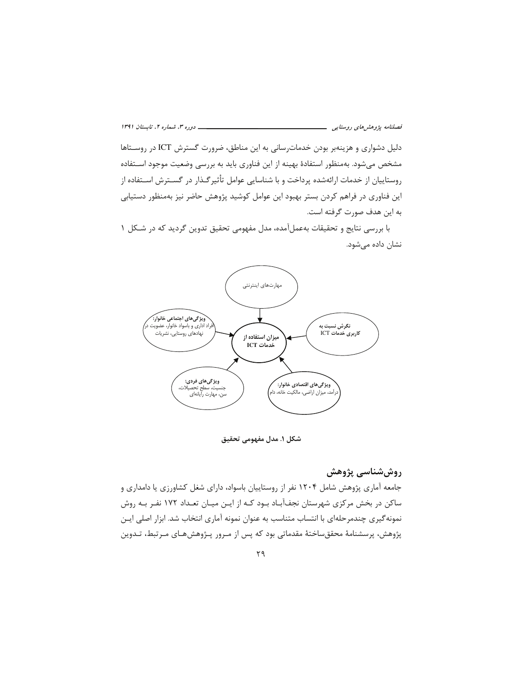دلیل دشواری و هزینهبر بودن خدماترسانی به این مناطق، ضرورت گسترش ICT در روسـتاها مشخص میشود. بهمنظور استفادهٔ بهینه از این فناوری باید به بررسی وضعیت موجود اسـتفاده روستاییان از خدمات ارائهشده پرداخت و با شناسایی عوامل تأثیرگـذار در گســترش اســتفاده از این فناوری در فراهم کردن بستر بهبود این عوامل کوشید پژوهش حاضر نیز بهمنظور دستیابی به این هدف صورت گرفته است.

با بررسی نتایج و تحقیقات بهعملآمده، مدل مفهومی تحقیق تدوین گردید که در شکل ۱ نشان داده می شود.



شكل ١. مدل مفهومي تحقيق

# روششناسی پژوهش

جامعه آماری پژوهش شامل ۱۲۰۴ نفر از روستاییان باسواد، دارای شغل کشاورزی یا دامداری و ساکن در بخش مرکزی شهرستان نجفآبـاد بـود کـه از ایـن میـان تعـداد ۱۷۲ نفـر بـه روش نمونه گیری چندمرحلهای با انتساب متناسب به عنوان نمونه آماری انتخاب شد. ابزار اصلی ایـن پژوهش، پرسشنامهٔ محققساختهٔ مقدماتی بود که پس از مـرور پـژوهشهـای مـرتبط، تـدوین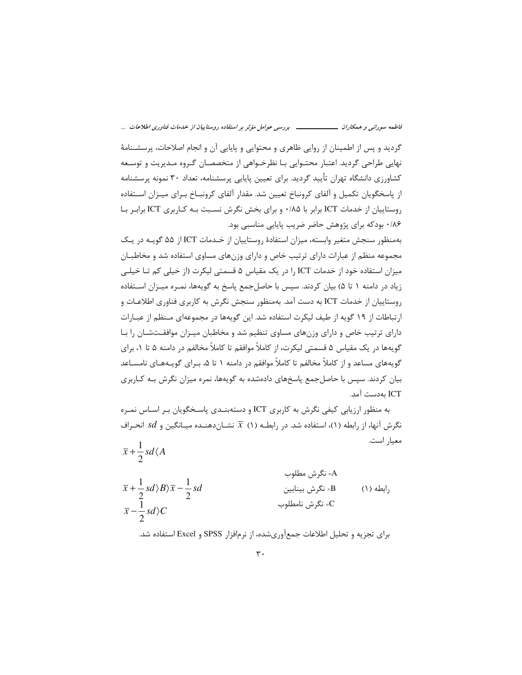### 

گردید و پس از اطمینان از روایی ظاهری و محتوایی و پایایی آن و انجام اصلاحات، پرسشـنامهٔ نهایی طراحی گردید. اعتبار محتـوایی بـا نظرخـواهی از متخصصـان گـروه مـدیریت و توسـعه کشاورزی دانشگاه تهران تأیید گردید. برای تعیین پایایی پرسشنامه، تعداد ۳۰ نمونه پرسشنامه از پاسخگویان تکمیل و آلفای کرونباخ تعیین شد. مقدار آلفای کرونبــاخ بـرای میـزان اســتفاده روستاییان از خدمات ICT برابر با ۰/۸۵ و برای بخش نگرش نسـبت بـه کـاربری ICT برابـر بـا ۰/۸۶ بودکه برای پژوهش حاضر ضریب پایایی مناسبی بود.

بهمنظور سنجش متغیر وابسته، میزان استفادهٔ روستاییان از خیدمات ICT از ۵۵ گوپیه در ییک مجموعه منظم از عبارات دارای ترتیب خاص و دارای وزنهای مساوی استفاده شد و مخاطبـان میزان استفاده خود از خدمات ICT را در یک مقیاس ۵ قسمتی لیکرت (از خیلی کم تـا خیلـی زياد در دامنه ١ تا ۵) بيان كردند. سپس با حاصل جمع پاسخ به گويهها، نمـره ميـزان اسـتفاده روستاییان از خدمات ICT به دست آمد. بهمنظور سنجش نگرش به کاربری فناوری اطلاعـات و ارتباطات از ۱۹ گویه از طیف لیکرت استفاده شد. این گویهها در مجموعهای مـنظم از عبـارات دارای ترتیب خاص و دارای وزنهای مساوی تنظیم شد و مخاطبان میـزان موافقـتشـان را بـا گویهها در یک مقیاس ۵ قسمتی لیکرت، از کاملاً موافقم تا کاملاً مخالفم در دامنه ۵ تا ۱، برای گویههای مساعد و از کاملاً مخالفم تا کاملاً موافقم در دامنه ۱ تا ۵، بـرای گویـههـای نامسـاعد بیان کردند. سپس با حاصل جمع پاسخهای دادهشده به گویهها، نمره میزان نگرش بـه کـاربری ICT بەدست آمد.

به منظور ارزیابی کیفی نگرش به کاربری ICT و دستهبنـدی پاسـخگویان بـر اسـاس نمـره نگرش آنها، از رابطه (۱)، استفاده شد. در رابطـه (۱)  $\overline{x}$  نشــان‹هنــده میــانگین و  $d$ 8 انحـراف معيار است.  $\overline{x} + \frac{1}{2} sd \langle A$ 

A= نگرش مطلوب  $\overline{x} + \frac{1}{2} sd \rangle B \rangle \overline{x} - \frac{1}{2} sd$ B= نگرش بينابين (١) مله (١) C= نگرش نامطلوب  $\overline{x}$  –  $\frac{1}{2}$  sd  $\overline{C}$ 

برای تجزیه و تحلیل اطلاعات جمعآوریشده، از نرمافزار SPSS و Excel استفاده شد.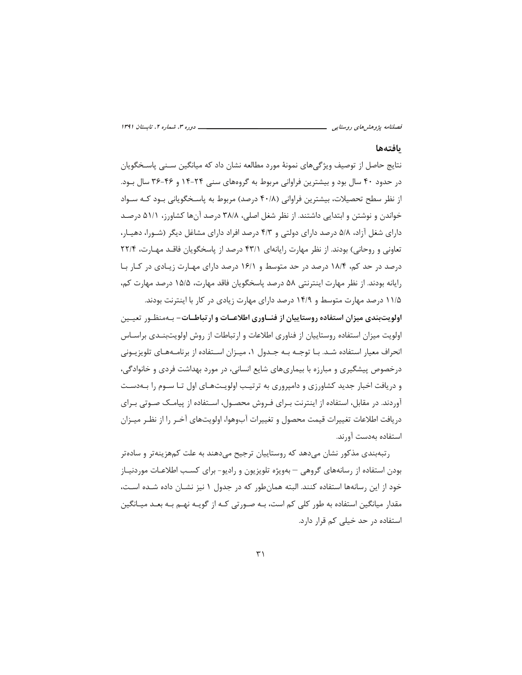#### بافتهها

نتايج حاصل از توصيف ويژگيهاي نمونهٔ مورد مطالعه نشان داد که ميانگين سـني پاسـخگويان در حدود ۴۰ سال بود و بیشترین فراوانی مربوط به گروههای سنی ۲۴-۱۴ و ۴۶-۳۶ سال بـود. از نظر سطح تحصیلات، بیشترین فراوانی (۴۰/۸ درصد) مربوط به پاسـخگویانی بــود کــه ســواد خواندن و نوشتن و ابتدایی داشتند. از نظر شغل اصلی، ۳۸/۸ درصد آنها کشاورز، ۵۱/۱ درصد دارای شغل آزاد، ۵/۸ درصد دارای دولتی و ۴/۳ درصد افراد دارای مشاغل دیگر (شـورا، دهیـار، تعاونی و روحانی) بودند. از نظر مهارت رایانهای ۴۳/۱ درصد از پاسخگویان فاقـد مهـارت، ۲۲/۴ درصد در حد کم، ۱۸/۴ درصد در حد متوسط و ۱۶/۱ درصد دارای مهـارت زیـادی در کـار بـا رايانه بودند. از نظر مهارت اينترنتي ۵۸ درصد پاسخگويان فاقد مهارت، ۱۵/۵ درصد مهارت كم، ۱۱/۵ درصد مهارت متوسط و ۱۴/۹ درصد دارای مهارت زیادی در کار با اینترنت بودند.

اولویتبندی میزان استفاده روستاییان از فنـاوری اطلاعـات و ارتباطـات- بـهمنظـور تعیـین اولویت میزان استفاده روستاییان از فناوری اطلاعات و ارتباطات از روش اولویتبنـدی براسـاس انحراف معیار استفاده شـد. بـا توجـه بـه جـدول ١، میـزان اسـتفاده از برنامـههـای تلویزیـونی درخصوص پیشگیری و مبارزه با بیماریهای شایع انسانی، در مورد بهداشت فردی و خانوادگی، و دریافت اخبار جدید کشاورزی و دامپروری به ترتیب اولویتهای اول تـا سـوم را بـهدسـت آوردند. در مقابل، استفاده از اینترنت بـرای فـروش محصـول، اسـتفاده از پیامـک صـوتی بـرای دريافت اطلاعات تغييرات قيمت محصول و تغييرات آبوهوا، اولويتهاى آخـر را از نظـر ميـزان استفاده بەدست آورند.

رتبهبندی مذکور نشان می دهد که روستاییان ترجیح می دهند به علت کمهزینهتر و سادهتر بودن استفاده از رسانههای گروهی – بهویژه تلویزیون و رادیو- برای کسب اطلاعـات موردنیـاز خود از این رسانهها استفاده کنند. البته همانطور که در جدول ۱ نیز نشـان داده شـده اسـت، مقدار میانگین استفاده به طور کلی کم است، بـه صـورتی کـه از گویـه نهـم بـه بعـد میـانگین استفاده در حد خیلی کم قرار دارد.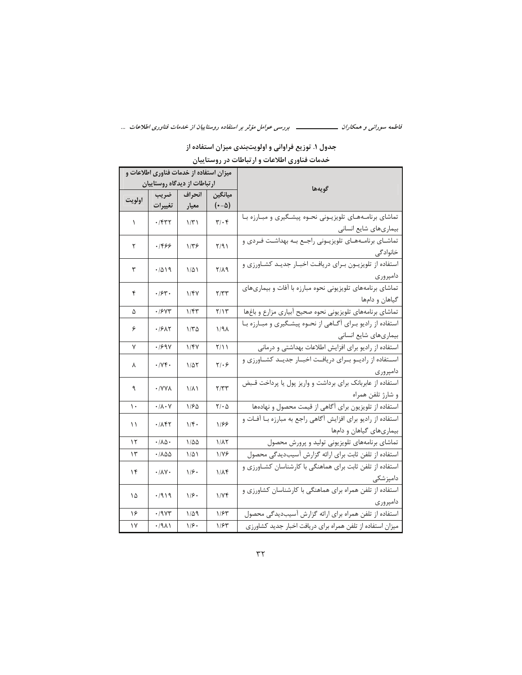جدول ۱. توزیع فراوانی و اولویتبندی میزان استفاده از

خدمات فناورى اطلاعات و ارتباطات در روستاييان

|        | میزان استفاده از خدمات فناوری اطلاعات و |                       |                               |                                                                     |  |  |  |  |
|--------|-----------------------------------------|-----------------------|-------------------------------|---------------------------------------------------------------------|--|--|--|--|
|        | ارتباطات از دیدگاه روستاییان            |                       |                               | گويەھا                                                              |  |  |  |  |
|        | ضريب                                    | انحراف                | ميانگين                       |                                                                     |  |  |  |  |
| اولويت | تغييرات                                 | معيار                 | $(\cdot - \Delta)$            |                                                                     |  |  |  |  |
|        |                                         |                       |                               | تماشای برنامههای تلویزیونی نحوه پیشگیری و مبارزه با                 |  |  |  |  |
| ١      | .754                                    | $1/\tilde{r}$         | $\mathbf{y} \cdot \mathbf{y}$ | بیماریهای شایع انسانی                                               |  |  |  |  |
|        |                                         |                       |                               | .<br>تماشـاي برنامــههـاي تلويزيــوني راجــع بــه بهداشــت فــردي و |  |  |  |  |
| ٢      | ۱۴۶۶                                    | ۱۳۶                   | ۲/۹۱                          | خانوادگی                                                            |  |  |  |  |
|        |                                         |                       |                               | استفاده از تلویزیـون بـرای دریافـت اخبـار جدیـد کشـاورزی و          |  |  |  |  |
| ٣      | .7019                                   | ۱۵۱                   | $Y/\lambda$ 9                 | دامپروری                                                            |  |  |  |  |
|        |                                         |                       |                               | تماشای برنامههای تلویزیونی نحوه مبارزه با آفات و بیماریهای          |  |  |  |  |
| ۴      |                                         | .784.<br>۱/۴۷<br>Y/YY |                               | گیاهان و دامها                                                      |  |  |  |  |
| ۵      | ۰/۶۷۳                                   | ۱/۴۳                  | Y/Y                           | تماشاى برنامههاى تلويزيونى نحوه صحيح أبيارى مزارع و باغها           |  |  |  |  |
|        |                                         |                       |                               | استفاده از رادیو برای آگاهی از نحوه پیشگیری و مبارزه با             |  |  |  |  |
| ۶      | .1911                                   | ۱/۳۵                  | ۱/۹۸                          |                                                                     |  |  |  |  |
| ٧      | .199Y                                   | ۱/۴۷                  | Y/11                          | استفاده از رادیو برای افزایش اطلاعات بهداشتی و درمانی               |  |  |  |  |
|        |                                         |                       |                               | استفاده از رادیو برای دریافت اخبار جدید کشاورزی و                   |  |  |  |  |
| ٨      | .7Yf.                                   | ۱/۵۲                  | $Y/\cdot 9$                   | دامپروری                                                            |  |  |  |  |
|        |                                         |                       |                               | استفاده از عابربانک برای برداشت و واریز پول یا پرداخت قبض           |  |  |  |  |
| ٩      | · / Y Y A                               | ۱/۸۱                  | Y/YY                          | و شارژ تلفن همراه                                                   |  |  |  |  |
| ۱۰     | $\cdot/\lambda\cdot\mathsf{V}$          | ۱۱۶۵                  | $\mathbf{Y}/\cdot\Delta$      | استفاده از تلویزیون برای آگاهی از قیمت محصول و نهادهها              |  |  |  |  |
|        | ۰۱۸۴۲                                   | $1/\mathfrak{F}$ .    | 1188                          | استفاده از رادیو برای افزایش آگاهی راجع به مبارزه بـا آفـات و       |  |  |  |  |
| ۱۱     |                                         |                       |                               | بیماریهای گیاهان و دامها                                            |  |  |  |  |
| ۱۲     | $\cdot/\lambda\Delta$ .                 | ۱/۵۵                  | 1/17                          | تماشای برنامههای تلویزیونی تولید و پرورش محصول                      |  |  |  |  |
| ۱۳     | ۱۸۵۵.                                   | ۱۵۱                   | 1/78                          | استفاده از تلفن ثابت براي ارائه گزارش آسيبديدگي محصول               |  |  |  |  |
| ۱۴     | $\cdot/\lambda V$                       | 1/f.                  | ۱/۸۴                          | استفاده از تلفن ثابت برای هماهنگی با کارشناسان کشاورزی و            |  |  |  |  |
|        |                                         |                       |                               | دامپزشکی                                                            |  |  |  |  |
| ۱۵     | .7919                                   | ۱۱۶۰                  | 1/Yf                          | استفاده از تلفن همراه برای هماهنگی با کارشناسان کشاورزی و           |  |  |  |  |
|        |                                         |                       |                               | دامپروری                                                            |  |  |  |  |
| ۱۶     | .79Y                                    | ۱٬۵۹                  | ۱۱۶۳                          | استفاده از تلفن همراه براى ارائه گزارش آسيبديدگى محصول              |  |  |  |  |
| ۱۷     | .7911                                   | ۱۱۶۰                  | ۱۱۶۳                          | میزان استفاده از تلفن همراه برای دریافت اخبار جدید کشاورزی          |  |  |  |  |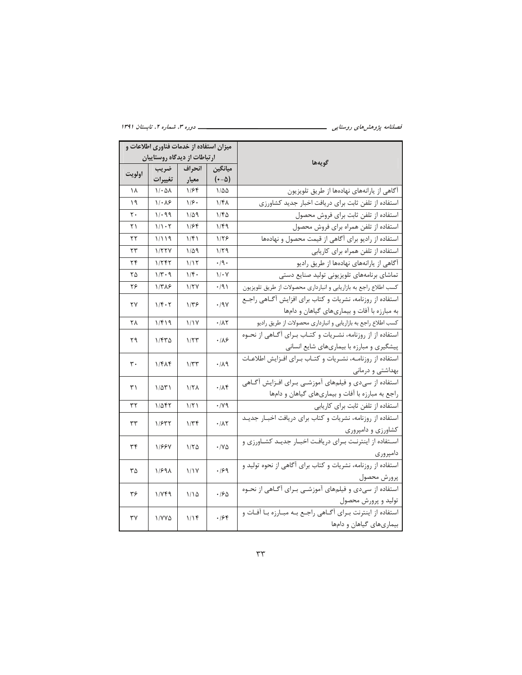| میزان استفاده از خدمات فناوری اطلاعات و<br>ارتباطات از دیدگاه روستاییان |                         |                     |                        |                                                                  |  |  |  |
|-------------------------------------------------------------------------|-------------------------|---------------------|------------------------|------------------------------------------------------------------|--|--|--|
|                                                                         |                         |                     |                        | گويەھا                                                           |  |  |  |
| اولويت                                                                  | ضريب                    | انحراف              | ميانگين                |                                                                  |  |  |  |
|                                                                         | تغييرات                 | معيار               | $(-\Delta)$            |                                                                  |  |  |  |
| ۱۸                                                                      | $1/\cdot \Delta\lambda$ | ۱۱۶۴                | ۱۱۵۵                   | آگاهی از یارانههای نهادهها از طریق تلویزیون                      |  |  |  |
| ۱۹                                                                      | $1/\cdot \lambda$ ۶     | ۱۱۶۰                | ۱/۴۸                   | استفاده از تلفن ثابت براى دريافت اخبار جديد كشاورزى              |  |  |  |
| ٢٠                                                                      | 1/299                   | ۱/۵۹                | ۱۱۴۵                   | استفاده از تلفن ثابت براي فروش محصول                             |  |  |  |
| ۲۱                                                                      | 1/1.7                   | ۱۱۶۴                | ۱/۴۹                   | استفاده از تلفن همراه براى فروش محصول                            |  |  |  |
| ۲۲                                                                      | ۱٬۱۹                    | ۱/۴۱                | ۱۱۲۶                   | استفاده از رادیو برای آگاهی از قیمت محصول و نهادهها              |  |  |  |
| ۲۳                                                                      | 1/5YV                   | ۱٬۵۹                | ۱۱۲۹                   | استفاده از تلفن همراه براي كاريابي                               |  |  |  |
| ۲۴                                                                      | ۱۱۲۴۲                   | ۱٬۱۲                | $\cdot$ /9 $\cdot$     | آگاهی از یارانههای نهادهها از طریق رادیو                         |  |  |  |
| ۲۵                                                                      | ۱/۳۰۹                   | ۱۱۴۰                | $1/\cdot Y$            | تماشای برنامههای تلویزیونی تولید صنایع دستی                      |  |  |  |
| ۲۶                                                                      | $1/T\lambda$ ۶          | 1/7V                | $\cdot$ /9)            | كسب اطلاع راجع به بازاريابي و انبارداري محصولات از طريق تلويزيون |  |  |  |
| ٢٧                                                                      | $1/f \cdot 7$           | ۱۳۶                 | $\cdot$ /9 $\vee$      | استفاده از روزنامه، نشريات و كتاب براي افزايش أگـاهي راجـع       |  |  |  |
|                                                                         |                         |                     |                        | به مبارزه با آفات و بیماریهای گیاهان و دامها                     |  |  |  |
| ۲۸                                                                      | ۱/۴۱۹                   | ۱٬۱۷                | $\cdot$ / $\wedge\tau$ | كسب اطلاع راجع به بازاريابي و انبارداري محصولات از طريق راديو    |  |  |  |
| ۲۹                                                                      | ۱/۴۳۵                   | 1/5                 | .189                   | استفاده از از روزنامه، نشـریات و کتـاب بـرای آگـاهی از نحـوه     |  |  |  |
|                                                                         |                         |                     |                        | پیشگیری و مبارزه با بیماریهای شایع انسانی                        |  |  |  |
| ٣٠                                                                      | ۱/۴۸۴                   | 1/TT                | .74                    | استفاده از روزنامـه، نشـريات و كتـاب بـراي افـزايش اطلاعـات      |  |  |  |
|                                                                         |                         |                     |                        | بهداشتی و درمانی                                                 |  |  |  |
| ۳۱                                                                      |                         | $1/\Upsilon\Lambda$ | .78                    | استفاده از سیدی و فیلمهای آموزشـی بـرای افـزایش آگـاهی           |  |  |  |
|                                                                         | ۱/۵۳۱                   |                     |                        | راجع به مبارزه با آفات و بيماري هاي گياهان و دامها               |  |  |  |
| ۳۲                                                                      | ۱/۵۴۲                   | ۱/۲۱                | $\cdot$ / $\vee$ 9     | استفاده از تلفن ثابت برای کاریابی                                |  |  |  |
| ٣٣                                                                      | 1/577                   | $1/\tau$            | .11                    | استفاده از روزنامه، نشریات و کتاب برای دریافت اخبار جدیـد        |  |  |  |
|                                                                         |                         |                     |                        | کشاورزی و دامپروری                                               |  |  |  |
| ٣۴                                                                      |                         |                     |                        | استفاده از اینترنت برای دریافت اخبار جدید کشاورزی و              |  |  |  |
|                                                                         | 11887                   | ۱/۲۵                | $\cdot$ /Y $\Delta$    | دامپروری                                                         |  |  |  |
|                                                                         |                         |                     |                        | استفاده از روزنامه، نشریات و کتاب برای آگاهی از نحوه تولید و     |  |  |  |
| ٣۵                                                                      | 1/891                   | 1/1V                | .199                   | پرورش محصول                                                      |  |  |  |
|                                                                         |                         |                     |                        | استفاده از سیدی و فیلمهای آموزشـی بـرای آگــاهی از نحــوه        |  |  |  |
| ۳۶                                                                      | ۱٬۷۴۹                   | ۱۱۵                 | .190                   | تولید و پرورش محصول                                              |  |  |  |
|                                                                         |                         |                     |                        | استفاده از اینترنت بـرای آگـاهی راجـع بـه مبـارزه بـا آفـات و    |  |  |  |
| ٣٧                                                                      | ۱/۷۷۵                   | ۱٬۱۴                | .199                   | بیماریهای گیاهان و دامها                                         |  |  |  |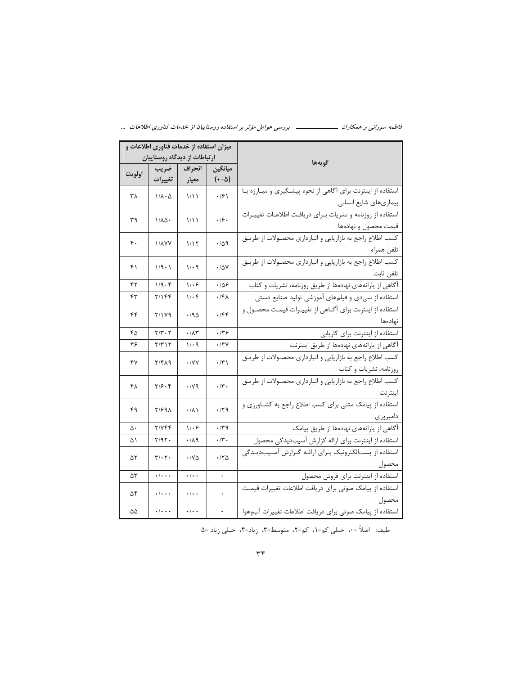|  | - بررسی عوامل مؤثر بر استفاده روستاییان از خدمات فناوری اطلاعات |  |  |  | فاطمه سوراني و همکاران ـــ |  |  |
|--|-----------------------------------------------------------------|--|--|--|----------------------------|--|--|
|--|-----------------------------------------------------------------|--|--|--|----------------------------|--|--|

|                         | میزان استفاده از خدمات فناوری اطلاعات و                                                   |                              |                      |                                                                       |
|-------------------------|-------------------------------------------------------------------------------------------|------------------------------|----------------------|-----------------------------------------------------------------------|
|                         | ارتباطات از دیدگاه روستاییان                                                              |                              |                      | گويەھا                                                                |
| اولويت                  | ضريب                                                                                      | انحراف                       | ميانگين              |                                                                       |
|                         | تغييرات                                                                                   | معيار                        | $(\cdot - \Delta)$   |                                                                       |
| ۳۸                      | $1/\lambda \cdot \Delta$                                                                  | 1/11                         | $\cdot$ /6)          | استفاده از اینترنت برای آگاهی از نحوه پیشگیری و مبارزه با             |
|                         |                                                                                           |                              |                      | بیماریهای شایع انسانی                                                 |
| ٣٩                      | ۱/۸۵۰                                                                                     | ۱۱۱                          | .19.                 | استفاده از روزنامه و نشريات بـراي دريافـت اطلاعـات تغييـرات           |
|                         |                                                                                           |                              |                      | قيمت محصول و نهادهها                                                  |
|                         |                                                                                           |                              | .409                 | كسب اطلاع راجع به بازاريابي و انبارداري محصولات از طريـق              |
| ۴.                      | <b><i>\/</i></b> \/Y                                                                      | ۱٬۱۲                         |                      | تلفن همراه                                                            |
|                         |                                                                                           |                              |                      | كسب اطلاع راجع به بازاريابي و انبارداري محصولات از طريـق              |
| $1/9 - 1$<br>1/29<br>۴۱ |                                                                                           |                              | $\cdot$ / $\Delta$ Y | تلفن ثابت                                                             |
| ۴۲                      | 1/9.9                                                                                     | ۱۱۰۶                         | .109                 | <sup>آ</sup> گاهی از یارانههای نهادهها از طریق روزنامه، نشریات و کتاب |
| ۴۳                      | ۲/۱۴۴                                                                                     | ۱/۰۴                         | ۰/۴۸                 | استفاده از سیدی و فیلمهای آموزشی تولید صنایع دستی                     |
|                         |                                                                                           |                              |                      | استفاده از اینترنت برای آگـاهی از تغییـرات قیمـت محصـول و             |
| ۴۴                      | 71179                                                                                     | ۱۹۵                          | .789                 | نهادهها                                                               |
| ۴۵                      | $Y/Y \cdot Y$                                                                             | $\cdot/\Lambda\mathsf{r}$    | .149                 | استفاده از اینترنت برای کاریابی                                       |
| ۴۶                      | ۲/۳۱۲                                                                                     | ۱/۰۹                         | ۰/۴۷                 | آگاهی از یارانههای نهادهها از طریق اینترنت                            |
| ۴٧                      | ٢/٤٨٩                                                                                     | $\cdot$ /YY                  | $\cdot$ /۳)          | كسب اطلاع راجع به بازاريابي و انبارداري محصـولات از طريـق             |
|                         |                                                                                           |                              |                      | روزنامه، نشريات و كتاب                                                |
|                         | $Y/\mathcal{S}\cdot\mathcal{F}$                                                           |                              | $\cdot$ /۳.          | كسب اطلاع راجع به بازاريابي و انبارداري محصولات از طريـق              |
| ۴۸                      |                                                                                           | $\cdot$ / $\vee$ 9           |                      | اينترنت                                                               |
|                         |                                                                                           |                              |                      | استفاده از پیامک متنی برای کسب اطلاع راجع به کشـاورزی و               |
| ۴۹                      | 81698                                                                                     | $\cdot/\lambda$              | $\cdot$ /۲۹          | دامپروری                                                              |
| ۵٠                      | Y/YFf                                                                                     | 1.9                          | $\cdot$ /۳۹          | آگاهی از یارانههای نهادهها از طریق پیامک                              |
| ۵۱                      | $Y/9Y$ .                                                                                  | ۰/۸۹                         | $\cdot$ /۳ $\cdot$   | استفاده از اینترنت برای ارائه گزارش آسیبدیدگی محصول                   |
|                         |                                                                                           |                              |                      | استفاده از پستالکترونیک بـرای ارائـه گـزارش آسـیبدیـدگی               |
| ۵٢                      | $\mathbf{y}/\cdot \mathbf{y}$ .                                                           | $\cdot$ / $\vee$ $\triangle$ | $\cdot$ /۲ $\Delta$  | محصول                                                                 |
| ۵٣                      | $\overline{\cdot\cdot\cdot\cdot}$                                                         | $\cdot/\cdot$ .              | $\ddot{\phantom{0}}$ | استفاده از اینترنت برای فروش محصول                                    |
|                         | $\cdot/\cdot\cdot$                                                                        |                              |                      | استفاده از پیامک صوتی برای دریافت اطلاعات تغییرات <mark>قیمت</mark>   |
| ۵۴                      |                                                                                           | $\cdot/\cdot$ .              | $\bullet$            | محصول                                                                 |
| ۵۵                      | $\overline{\cdot\hspace{0.1cm}\cdot\hspace{0.1cm}\cdot\hspace{0.1cm}\cdot\hspace{0.1cm}}$ | $\cdot/\cdot$ .              |                      | استفاده از پیامک صوتی برای دریافت اطلاعات تغییرات آبوهوا              |

طيف: اصلاً = ٠، خيلي كم=١، كم=٢، متوسط=٣، زياد=۴، خيلي زياد =۵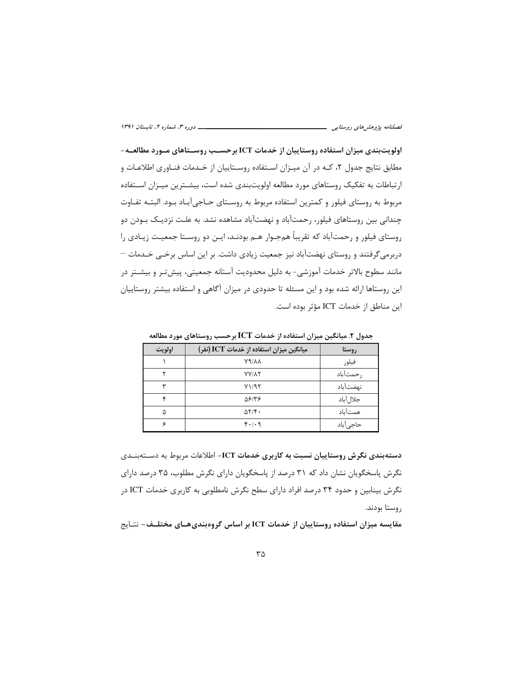اولویتبندی میزان استفاده روستاییان از خدمات ICT برحسـب روســتاهای مــورد مطالعــه-مطابق نتایج جدول ۲، کـه در آن میـزان اسـتفاده روسـتاییان از خـدمات فنـاوری اطلاعـات و ارتباطات به تفکیک روستاهای مورد مطالعه اولویتبندی شده است، بیشـترین میـزان اسـتفاده مربوط به روستای فیلور و کمترین استفاده مربوط به روسـتای حـاجی آبـاد بـود. البتـه تفـاوت چندانی بین روستاهای فیلور، رحمتآباد و نهضتآباد مشاهده نشد. به علـت نزدیـک بـودن دو روستای فیلور و رحمتآباد که تقریباً همجـوار هـم بودنـد، ایــن دو روسـتا جمعیـت زیــادی را دربرمی گرفتند و روستای نهضتآباد نیز جمعیت زیادی داشت. بر این اساس برخـی خـدمات — مانند سطوح بالاتر خدمات آموزشی- به دلیل محدودیت آستانه جمعیتی، پیش تـر و بیشــتر در این روستاها ارائه شده بود و این مسئله تا حدودی در میزان آگاهی و استفاده بیشتر روستاییان اين مناطق از خدمات ICT مؤثر بوده است.

| اولويت | میانگین میزان استفاده از خدمات ICT (نفر) | روستا     |
|--------|------------------------------------------|-----------|
|        | 89/88                                    | فيلور     |
|        | <b>YY/AY</b>                             | رحمتآباد  |
| س      | Y1/97                                    | نهضتآباد  |
| ۰c     | 58138                                    | جلال آباد |
| ۵      | $\Delta Y/\mathfrak{F}$ .                | همتآباد   |
| c      | 4.1.9                                    | حاجى آباد |

جدول ۲. میانگین میزان استفاده از خدمات ICT برحسب روستاهای مورد مطالعه

دستهبندی نگرش روستاییان نسبت به کاربری خدمات ICT- اطلاعات مربوط به دسـتهبنــدی نگرش پاسخگویان نشان داد که ۳۱ درصد از پاسخگویان دارای نگرش مطلوب، ۳۵ درصد دارای نگرش بینابین و حدود ۳۴ درصد افراد دارای سطح نگرش نامطلوبی به کاربری خدمات ICT در روستا بودند.

مقایسه میزان استفاده روستاییان از خدمات ICT بر اساس گروهبندیهـای مختلـف- نتـایج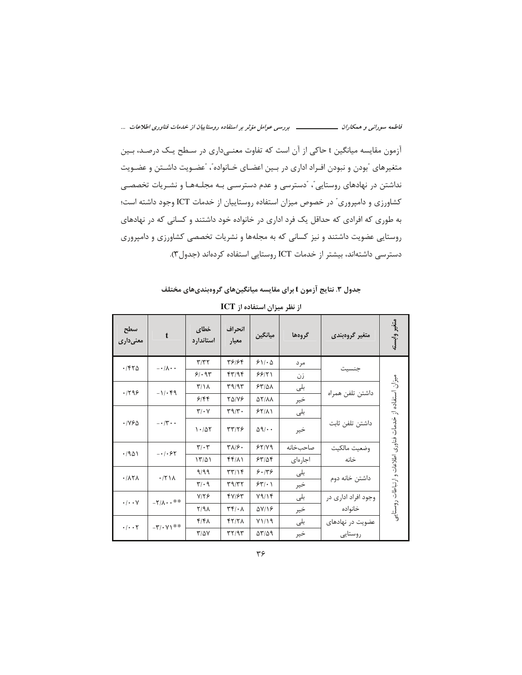فاطمه سورانی و همکاران ــــــــــــــــــ بررسی عوامل مؤثر بر استفاده روستاییان از خدمات فناوری اطلاعات ...

آزمون مقایسه میانگین t حاکی از آن است که تفاوت معنےداری در سطح یک درصد، بـین متغیرهای ًبودن و نبودن افـراد اداری در بـین اعضـای خـانواده"، "عضـویت داشـتن و عضـویت نداشتن در نهادهای روستایی"، "دسترسی و عدم دسترسـی بـه مجلـههـا و نشـریات تخصصـی كشاورزي و دامپروري" در خصوص ميزان استفاده روستاييان از خدمات ICT وجود داشته است؛ به طوری که افرادی که حداقل یک فرد اداری در خانواده خود داشتند و کسانی که در نهادهای روستایی عضویت داشتند و نیز کسانی که به مجلهها و نشریات تخصصی کشاورزی و دامپروری دسترسی داشتهاند، بیشتر از خدمات ICT روستایی استفاده کردهاند (جدول۳).

جدول ۳. نتایج آزمون t برای مقایسه میانگینهای گروهبندیهای مختلف

| سطح<br>معنىدارى                   | $\mathbf t$                                 | خطاى<br>استاندارد             | انحراف<br>معيار                            | ميانگين                              | گروهها   | متغير گروهبندى      | متغير وابسته                                             |
|-----------------------------------|---------------------------------------------|-------------------------------|--------------------------------------------|--------------------------------------|----------|---------------------|----------------------------------------------------------|
| .7570                             | $-\cdot/\lambda \cdot \cdot$                | $\mathbf{y} = \mathbf{y}$     | 48184                                      | 511.0                                | مر د     |                     |                                                          |
|                                   |                                             | 91.94                         | fY/9f                                      | 99/71                                | زن       | جنسيت               |                                                          |
| .799                              | $-1/\cdot$ ۴۹                               | $\Upsilon/\Upsilon$           | 49/97                                      | 54/21                                | بلی      |                     |                                                          |
|                                   |                                             | 9188                          | <b>TAIVE</b>                               | <b>AY/AA</b>                         | خير      | داشتن تلفن همراه    |                                                          |
|                                   | $-\cdot/\tau \cdot \cdot$                   | $\mathbf{Y}/\cdot\mathbf{V}$  | $\mathbf{r} \mathbf{9}/\mathbf{r}$ .       | 55/11                                | بلى      |                     |                                                          |
| $\cdot$ /795                      |                                             | 1.407                         | 47/78                                      | $\Delta$ 9/ $\cdot$ .                | خير      | داشتن تلفن ثابت     | سیزان استفاده از خدمات فناوری اطلاعات و ارتباطات روستایی |
|                                   |                                             | $\mathbf{y} \cdot \mathbf{y}$ | $T\Lambda/\mathcal{F}$ .                   | 55/19                                | صاحبخانه | وضعيت مالكيت        |                                                          |
| .7901                             | $- \cdot \mid \cdot \mathcal{F} \mathsf{Y}$ | 17/21                         | $f(f/\lambda)$                             | 55/25                                | اجارهاى  | خانه                |                                                          |
| .717A                             | $\cdot$ /۲۱۸                                | 9/99                          | $\mathbf{r}\mathbf{r}/\mathbf{r}$          | 9.199                                | بلى      |                     |                                                          |
|                                   |                                             | $\mathbf{r}/\cdot \mathbf{q}$ | T9/T7                                      | $551 \cdot 1$                        | خير      | داشتن خانه دوم      |                                                          |
|                                   | $-Y/\lambda \cdot \cdot * *$                | $Y/Y$ ۶                       | 47184                                      | Y9/15                                | بلى      | وجود افراد اداری در |                                                          |
| $\cdot/\cdot\cdot$ Y              |                                             | $Y/9\Lambda$                  | $\mathbf{r} \mathbf{r} / \cdot \mathbf{A}$ | AV/18                                | خير      | خانواده             |                                                          |
|                                   |                                             | ۴/۴۸                          | YY/7 <sub>A</sub>                          | Y1/19                                | بلى      | عضویت در نهادهای    |                                                          |
| $\cdot$ / $\cdot$ $\cdot$ $\cdot$ | $-\mathbf{y}/\cdot\mathbf{y}$ **            | $\frac{1}{2}$                 | $\tau\tau$ /9 $\tau$                       | $\Delta \Upsilon / \Delta \vartheta$ | خير      | روستايى             |                                                          |

از نظر میزان استفاده از ICT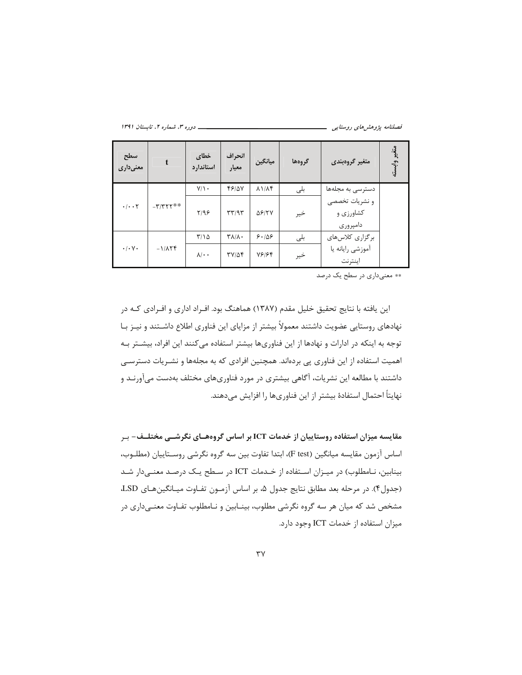ــــــ دوره ۳، شماره ۲، تابستان ۱۳۹۱

| سطح<br>معنىدارى                   | $\mathbf{t}$              | خطاي<br>استاندارد | انحراف<br>معيار                    | ميانگين                 | گروهها | متغير گروهبندي                          | متغير وابسته |
|-----------------------------------|---------------------------|-------------------|------------------------------------|-------------------------|--------|-----------------------------------------|--------------|
| $\cdot$ / $\cdot$ $\cdot$ $\cdot$ |                           | $Y/\lambda$ .     | 48/07                              | $\lambda$ $1/\lambda$ ۴ | بلى    | دسترسی به مجلهها                        |              |
|                                   | $-\tau/\tau\tau\tau^{**}$ | Y/99              | $\mathbf{r} \mathbf{r}/\mathbf{r}$ | <b>ASITY</b>            | خير    | و نشریات تخصصی<br>کشاورزی و<br>دامپروری |              |
| $\cdot$ / $\cdot$ $\vee$ $\cdot$  |                           | $\frac{1}{2}$     | $\mathbf{Y}\Lambda/\Lambda$        | 8.108                   | بلى    | برگزاری کلاسهای                         |              |
|                                   | $-1/\lambda Y$ F          | $\lambda/\cdot$ . | $TY/\Delta f$                      | 18184                   | خير    | آموزشي رايانه يا<br>اينترنت             |              |

\*\* معنىداري در سطح يک درصد

این یافته با نتایج تحقیق خلیل مقدم (۱۳۸۷) هماهنگ بود. افـراد اداری و افـرادی کـه در نهادهای روستایی عضویت داشتند معمولاً بیشتر از مزایای این فناوری اطلاع داشـتند و نیـز بـا توجه به اینکه در ادارات و نهادها از این فناوریها بیشتر استفاده می کنند این افراد، بیشـتر بـه اهمیت استفاده از این فناوری یی بردهاند. همچنین افرادی که به مجلهها و نشـریات دسترسـی داشتند با مطالعه این نشریات، آگاهی بیشتری در مورد فناوریهای مختلف بهدست میآورنـد و نهايتاً احتمال استفادهٔ بيشتر از اين فناوريها را افزايش مىدهند.

مقایسه میزان استفاده روستاییان از خدمات ICT بر اساس گروههـای نگرشــی مختلــف- بـر اساس آزمون مقايسه ميانگين (F test)، ابتدا تفاوت بين سه گروه نگرشي روسـتاييان (مطلـوب، بینابین، نـامطلوب) در میـزان اسـتفاده از خـدمات ICT در سـطح یـک درصـد معنـیدار شـد (جدول۴). در مرحله بعد مطابق نتايج جدول ۵، بر اساس آزمـون تفـاوت ميـانگينهـاي LSD، مشخص شد که میان هر سه گروه نگرشی مطلوب، بینـابین و نـامطلوب تفـاوت معنـیداری در میزان استفاده از خدمات ICT وجود دارد.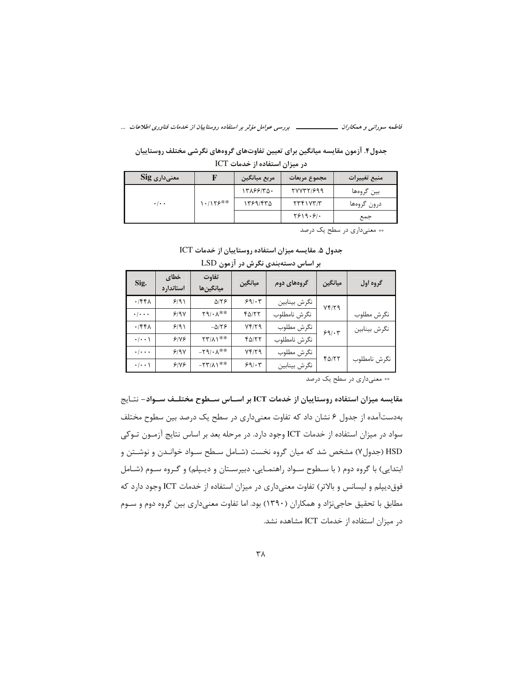جدول۴. آزمون مقایسه میانگین برای تعیین تفاوتهای گروههای نگرشی مختلف روستاییان در میزان استفاده از خدمات ICT

| $\operatorname{Sig}$ معنی $\operatorname{\mathsf{alg}}$ |           | مربع ميانگين | مجموع مربعات                | منبع تغييرات |
|---------------------------------------------------------|-----------|--------------|-----------------------------|--------------|
|                                                         |           | ۱۳۸۶۶/۳۵۰    | 77771999                    | بین گروهها   |
| $\cdot$ / $\cdot$ $\cdot$                               | **۱۱۲۶ ۱۰ | ۱۳۶۹/۴۳۵     | $\gamma$                    | درون گروهها  |
|                                                         |           |              | $Y^{\varphi}$ $Y^{\varphi}$ | جمع          |

\*\* معنىدارى در سطح يک درصد

|  |  |  |  |  |  |  |  |  |  |  |  |  | جدول ۵. مقایسه میزان استفاده روستاییان از خدمات ICT |  |  |  |  |  |
|--|--|--|--|--|--|--|--|--|--|--|--|--|-----------------------------------------------------|--|--|--|--|--|
|--|--|--|--|--|--|--|--|--|--|--|--|--|-----------------------------------------------------|--|--|--|--|--|

| Sig.                      | خطاى<br>استاندار د | تفاوت<br>ميانگين ها                              | ميانگين | گروههای دوم  | ميانگين      | گروه اول     |
|---------------------------|--------------------|--------------------------------------------------|---------|--------------|--------------|--------------|
| .756                      | 9/91               | $\Delta$ /٢۶                                     | 99.5    | نگرش بينابين | Yf/YQ        |              |
| $\cdot$ / $\cdot$ $\cdot$ | 9/9V               | $Y9/\cdot \Lambda^{**}$                          | 40/۲۲   | نگرش نامطلوب |              | نگرش مطلوب   |
| .756                      | 9/91               | $-\Delta/\Upsilon$                               | 74/۲۹   | نگرش مطلوب   | 59/17        | نگرش بينابين |
| $\cdot/\cdot\cdot$        | 918                | $\mathsf{Y}\mathsf{Y}/\mathsf{A}\mathsf{Y}^{**}$ | 40/۲۲   | نگرش نامطلوب |              |              |
| $\cdot/\cdot\cdot\cdot$   | 9/9V               | $-\mathbf{Y} \mathbf{9}/\cdot \mathbf{A}^{**}$   | Yf/YQ   | نگرش مطلوب   | $f\Delta/YY$ |              |
| $\cdot/\cdot\cdot$        | 918                | $-57/\lambda$                                    | 99.5    | نگرش بينابين |              | نگرش نامطلوب |

بر اساس دستهبندی نگرش در آزمون LSD

\*\* معنىدارى در سطح يک درصد

مقایسه میزان استفاده روستاییان از خدمات ICT بر اسـاس ســطوح مختلــف ســواد– نتـایج بهدستآمده از جدول ۶ نشان داد که تفاوت معنیداری در سطح یک درصد بین سطوح مختلف سواد در میزان استفاده از خدمات ICT وجود دارد. در مرحله بعد بر اساس نتایج آزمـون تـوکی HSD (جدول۷) مشخص شد که میان گروه نخست (شـامل سـطح سـواد خوانـدن و نوشـتن و ابتدایی) با گروه دوم ( با سطوح سـواد راهنمـایی، دبیرسـتان و دیـپلم) و گـروه سـوم (شـامل فوق دیپلم و لیسانس و بالاتر) تفاوت معنیداری در میزان استفاده از خدمات ICT وجود دارد که مطابق با تحقیق حاجینژاد و همکاران (۱۳۹۰) بود. اما تفاوت معنیداری بین گروه دوم و سـوم در میزان استفاده از خدمات ICT مشاهده نشد.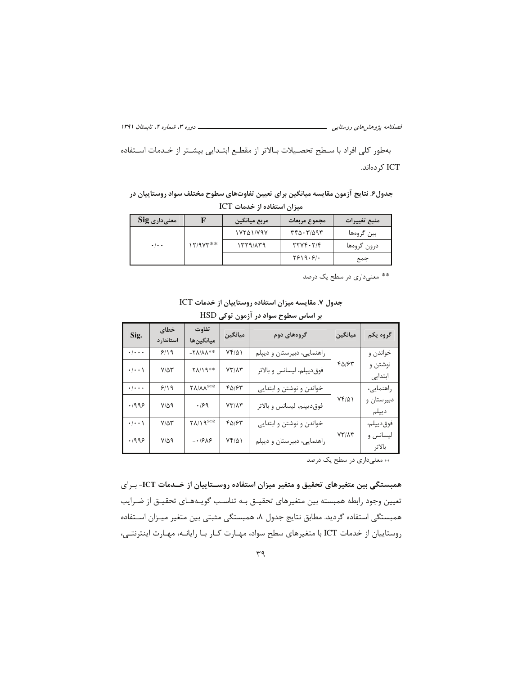\_\_\_\_\_\_\_\_\_ دوره ۳، شماره ۲، تابستان ۱۳۹۱ 

بهطور كلي افراد با سطح تحصيلات بالاتر از مقطع ابتـدايي بيشـتر از خـدمات اسـتفاده ICT کر دهاند.

جدول۶. نتایج آزمون مقایسه میانگین برای تعیین تفاوتهای سطوح مختلف سواد روستاییان در میزان استفاده از خدمات ICT

| $\mathrm{Sig}$ معنی $\mathrm{e}$ اری |          | مربع ميانگين      | مجموع مربعات | منبع تغييرات |
|--------------------------------------|----------|-------------------|--------------|--------------|
|                                      |          | $1YY\Delta 1/Y9Y$ | ۳۴۵۰۳/۵۹۳    | بین گروهها   |
| $\cdot$ / $\cdot$ $\cdot$            | 12/974** | 1779/179          | YYYYYY'Y     | درون گروهها  |
|                                      |          |                   | Y919.9.      | جمع          |

\*\* معنىدارى در سطح يک درصد

جدول ٧. مقايسه ميزان استفاده روستاييان از خدمات ICT

|                         | بر اساس سطوح سواد در آزمون توکی HSD |                              |                |                            |                |                     |  |  |  |  |  |  |  |
|-------------------------|-------------------------------------|------------------------------|----------------|----------------------------|----------------|---------------------|--|--|--|--|--|--|--|
| Sig.                    | خطاي<br>استاندار د                  | تفاوت<br>ميانگين ها          | ميانگين        | گروههای دوم                | ميانگين        | گروه یکم            |  |  |  |  |  |  |  |
| $\cdot/\cdot\cdot\cdot$ | 9/19                                | $-7\lambda/\lambda\lambda**$ | $Yf/\Delta$    | راهنمایی، دبیرستان و دیپلم |                | خواندن و            |  |  |  |  |  |  |  |
| $\cdot/\cdot\cdot$      | $V/\Delta Y$                        | $-71/19**$                   | $YY/\Lambda Y$ | فوق ديپلم، ليسانس و بالاتر | 40184          | نوشتن و<br>ابتدایی  |  |  |  |  |  |  |  |
| $\cdot/\cdot\cdot\cdot$ | 9/19                                | <b>TA/AA**</b>               | 40184          | خواندن و نوشتن و ابتدایی   |                | راهنمایی،           |  |  |  |  |  |  |  |
| .1999                   | $V/\Delta$ 9                        | .199                         | $YY/\Lambda Y$ | فوق ديپلم، ليسانس و بالاتر | $Yf/\Delta$    | دبیرستان و<br>ديپلم |  |  |  |  |  |  |  |
| $\cdot/\cdot\cdot$      | $V/\Delta Y$                        | $Y\Lambda/\Lambda$ 9**       | 40/64          | خواندن و نوشتن و ابتدایی   |                | فوقديپلم،           |  |  |  |  |  |  |  |
| .1999                   | $V/\Delta$ 9                        | $-1988$                      | $Yf/\Delta$    | راهنمایی، دبیرستان و دیپلم | $YY/\Lambda Y$ | ليسانس و<br>بالاتر  |  |  |  |  |  |  |  |

\*\* معنىدارى در سطح يک درصد

همبستگی بین متغیرهای تحقیق و متغیر میزان استفاده روسـتاییان از خـدمات ICT- بـرای تعيين وجود رابطه همبسته بين متغيرهاي تحقيـق بـه تناسـب گويـههـاي تحقيـق از ضـرايب همبستگی استفاده گردید. مطابق نتایج جدول ۸، همبستگی مثبتی بین متغیر میـزان اسـتفاده روستاییان از خدمات ICT با متغیرهای سطح سواد، مهـارت كـار بـا رایانــه، مهـارت اینترنتــی،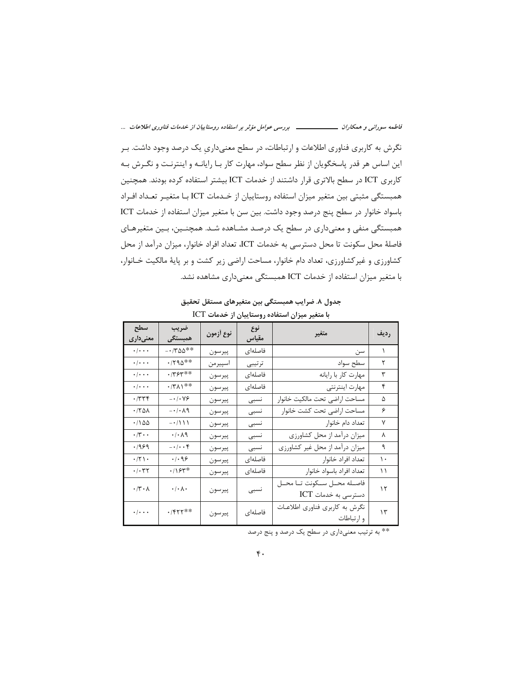فاطمه سورانی و همکاران ــــــــــــــــــ بررسی عوامل مؤثر بر استفاده روستاییان از خدمات فناوری اطلاعات ...

نگرش به کاربری فناوری اطلاعات و ارتباطات، در سطح معنیداری یک درصد وجود داشت. بـر این اساس هر قدر پاسخگویان از نظر سطح سواد، مهارت کار بـا رایانـه و اینترنـت و نگـرش بـه كاربري ICT در سطح بالاترى قرار داشتند از خدمات ICT بيشتر استفاده كرده بودند. همچنين همبستگی مثبتی بین متغیر میزان استفاده روستاییان از خـدمات ICT بـا متغیـر تعـداد افـراد باسواد خانوار در سطح پنج درصد وجود داشت. بین سن با متغیر میزان استفاده از خدمات ICT همبستگی منفی و معنیداری در سطح یک درصد مشـاهده شـد. همچنـین، بـین متغیرهـای فاصلهٔ محل سکونت تا محل دسترسی به خدمات ICT، تعداد افراد خانوار، میزان درآمد از محل کشاورزی و غیرکشاورزی، تعداد دام خانوار، مساحت اراضی زیر کشت و بر پایهٔ مالکیت خـانوار، با متغیر میزان استفاده از خدمات ICT همبستگی معنیداری مشاهده نشد.

جدول ٨. ضرایب همبستگی بین متغیرهای مستقل تحقیق

| سطح<br>معنی داری                | ضريب<br>همبستگی                    | نوع أزمون | نوع<br>مقياس | متغير                                         | رديف          |
|---------------------------------|------------------------------------|-----------|--------------|-----------------------------------------------|---------------|
| $\cdot/\cdot\cdot$              | $-1700**$                          | پيرسون    | فاصلهای      | سن                                            | ١             |
| $\cdot/\cdot\cdot$              | $\cdot$ /۲۹۵**                     | اسيير من  | ترتيبي       | سطح سواد                                      | ٢             |
| $\cdot$ / $\cdot$ $\cdot$       | $.7754**$                          | پيرسون    | فاصلهای      | مهارت كار با رايانه                           | ٣             |
| $\cdot/\cdot\cdot$              | $\cdot$ /٣ $\wedge$ \**            | پيرسون    | فاصلهای      | مهارت اينترنتي                                | ۴             |
| .774                            | $- \cdot / \cdot \vee \mathcal{S}$ | پيرسون    | نسبى         | مساحت اراضى تحت مالكيت خانوار                 | ۵             |
| ۰/۲۵۸                           | $-\cdot/\cdot \wedge q$            | پيرسون    | نسبى         | مساحت اراضى تحت كشت خانوار                    | ۶             |
| .780                            | $-1111$                            | پيرسون    | نسبى         | تعداد دام خانوار                              | ٧             |
| $\cdot/\mathbf{y} \cdot \cdot$  | $\cdot/\cdot$<br>$\wedge$ 9        | پيرسون    | نسبى         | میزان درآمد از محل کشاورزی                    | ٨             |
| 1969.                           | $- \cdot / \cdot \cdot f$          | پيرسون    | نسبى         | میزان درآمد از محل غیر کشاورزی                | ٩             |
| $\cdot$ /٢١.                    | .499                               | پيرسون    | فاصلهاى      | تعداد افراد خانوار                            | $\mathcal{L}$ |
| $\cdot$ / $\cdot$ $\tau$ $\tau$ | $\cdot$ /۱۶۳*                      | پيرسون    | فاصلهای      | تعداد افراد باسواد خانوار                     | ۱۱            |
| $\cdot$ /٣ $\cdot$ $\wedge$     | $\cdot$ / $\cdot$ / $\cdot$        | پيرسون    | نسبى         | فاصله محل سكونت تا محل<br>دسترسی به خدمات ICT | ۱٢            |
| $\cdot/\cdot\cdot\cdot$         | $.$ /۴۲۲**                         | پيرسون    | فاصلهای      | نگرش به كاربرى فناورى اطلاعات<br>و ارتباطات   | ۱۳            |

با متغیر میزان استفاده روستاییان از خدمات ICT

\*\* به ترتیب معنے داری در سطح یک درصد و پنج درصد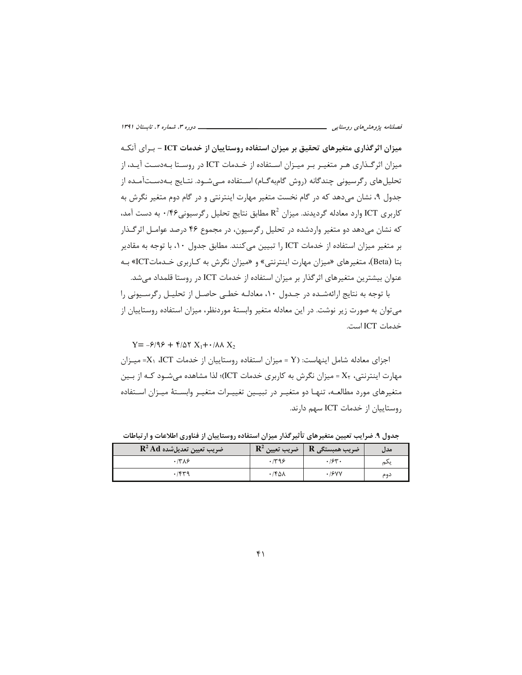میزان اثرگذاری متغیرهای تحقیق بر میزان استفاده روستاییان از خدمات ICT – بـرای آنکـه میزان اثرگذاری هـر متغیـر بـر میـزان اسـتفاده از خـدمات ICT در روسـتا بـهدسـت آیـد، از تحلیل های رگرسیونی چندگانه (روش گامبهگـام) اسـتفاده مـیشـود. نتـایج بـهدسـتآمـده از جدول ۹، نشان میدهد که در گام نخست متغیر مهارت اینترنتی و در گام دوم متغیر نگرش به کاربری ICT وارد معادله گردیدند. میزان  $\mathrm{R}^2$  مطابق نتایج تحلیل رگرسیونی $\ell$ ۰/۴۶ به دست آمد، که نشان میدهد دو متغیر واردشده در تحلیل رگرسیون، در مجموع ۴۶ درصد عوامـل اثرگـذار بر متغير ميزان استفاده از خدمات ICT را تبيين مي كنند. مطابق جدول ١٠، با توجه به مقادير بتا (Beta)، متغیرهای «میزان مهارت اینترنتی» و «میزان نگرش به کـاربری خـدماتICT» بـه عنوان بیشترین متغیرهای اثرگذار بر میزان استفاده از خدمات ICT در روستا قلمداد میشد.

با توجه به نتایج ارائهشـده در جـدول ۱۰، معادلـه خطـی حاصـل از تحلیـل رگرسـیونی را میتوان به صورت زیر نوشت. در این معادله متغیر وابستهٔ موردنظر، میزان استفاده روستاییان از خدمات ICT است.

 $Y = -\frac{\xi}{9} + \frac{\xi}{6}$ 

اجزای معادله شامل اینهاست: (Y = میزان استفاده روستاییان از خدمات ICT، IK- میـزان مهارت اینترنتی، X<sub>۲</sub> = میزان نگرش به کاربری خدمات ICT)؛ لذا مشاهده می شــود کــه از بــین متغيرهاي مورد مطالعـه، تنهـا دو متغيـر در تبيـين تغييـرات متغيـر وابسـتهٔ ميـزان اسـتفاده روستاییان از خدمات ICT سهم دارند.

| $\mathbf{R}^2\,\mathbf{A}\mathbf{d}$ ضريب تعيين تعديلشده |       | $\sqrt{\mathbf{R}^2}$ ضریب همبستگی $\mathbf{R}$ ضریب تعیین $\mathbf{R}^2$ | مدل |
|----------------------------------------------------------|-------|---------------------------------------------------------------------------|-----|
| .778                                                     | .799  | .194.                                                                     | يىم |
| ۳۳۹،                                                     | ۰/۴۵۸ | .19YV                                                                     | دوم |

جدول ۹. ضرایب تعیین متغیرهای تأثیرگذار میزان استفاده روستاییان از فناوری اطلاعات و ارتباطات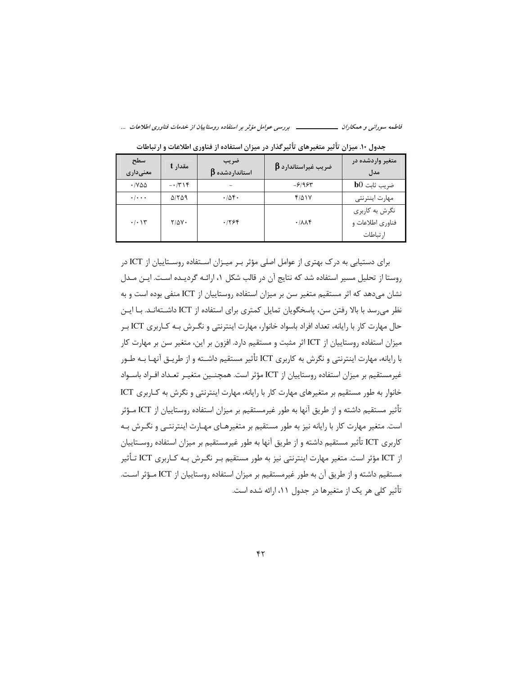فاطمه سورانی و همکاران ـــــــــــــــــــ بررسی عوامل مؤثر بر استفاده روستاییان از خدمات فناوری اطلاعات ...

| سطح<br>معنی داری          | مقدار t      | ضريب<br>$\boldsymbol{\beta}$ استانداردشده | $\boldsymbol{\beta}$ ضریب غیراستاندارد | متغیر واردشده در<br>مدل                        |
|---------------------------|--------------|-------------------------------------------|----------------------------------------|------------------------------------------------|
| $\cdot$ / Y A A           | $-15$        |                                           | $-8/98$                                | $b0$ ضريب ثابت                                 |
| $\cdot$ / $\cdot$ $\cdot$ | <b>AITA9</b> | .408.                                     | ۴۱۵۱۷                                  | مهارت اينترنتي                                 |
| $\cdot/\cdot$ \ \         | $Y/\Delta Y$ | .1798                                     | .711                                   | نگرش به کاربری<br>فناوري اطلاعات و<br>ارتباطات |

جدول ۱۰. میزان تأثیر متغیرهای تأثیرگذار در میزان استفاده از فناوری اطلاعات و ارتباطات

برای دستیابی به درک بهتری از عوامل اصلی مؤثر بـر میـزان اسـتفاده روسـتاییان از ICT در روستا از تحلیل مسیر استفاده شد که نتایج آن در قالب شکل ۱، ارائـه گردیـده اسـت. ایـن مـدل نشان میدهد که اثر مستقیم متغیر سن بر میزان استفاده روستاییان از ICT منفی بوده است و به نظر می رسد با بالا رفتن سن، پاسخگویان تمایل کمتری برای استفاده از ICT داشـتهانـد. بـا ایـن حال مهارت کار با رایانه، تعداد افراد باسواد خانوار، مهارت اینترنتی و نگـرش بـه کــاربری ICT بـر میزان استفاده روستاییان از ICT اثر مثبت و مستقیم دارد. افزون بر این، متغیر سن بر مهارت کار با رایانه، مهارت اینترنتی و نگرش به کاربری ICT تأثیر مستقیم داشــته و از طریــق آنهـا بــه طــور غيرمستقيم بر ميزان استفاده روستاييان از ICT مؤثر است. همچنـين متغيـر تعـداد افـراد باسـواد خانوار به طور مستقیم بر متغیرهای مهارت کار با رایانه، مهارت اینترنتی و نگرش به کـاربری ICT تأثیر مستقیم داشته و از طریق آنها به طور غیرمستقیم بر میزان استفاده روستاییان از ICT مـؤثر است. متغیر مهارت کار با رایانه نیز به طور مستقیم بر متغیرهـای مهـارت اینترنتـی و نگـرش بـه كاربري ICT تأثير مستقيم داشته و از طريق آنها به طور غيرمستقيم بر ميزان استفاده روسـتاييان از ICT مؤثر است. متغیر مهارت اینترنتی نیز به طور مستقیم بـر نگـرش بـه کـاربری ICT تـأثیر مستقیم داشته و از طریق آن به طور غیرمستقیم بر میزان استفاده روستاییان از ICT مـؤثر اسـت. تأثیر کلی هر یک از متغیرها در جدول ۱۱، ارائه شده است.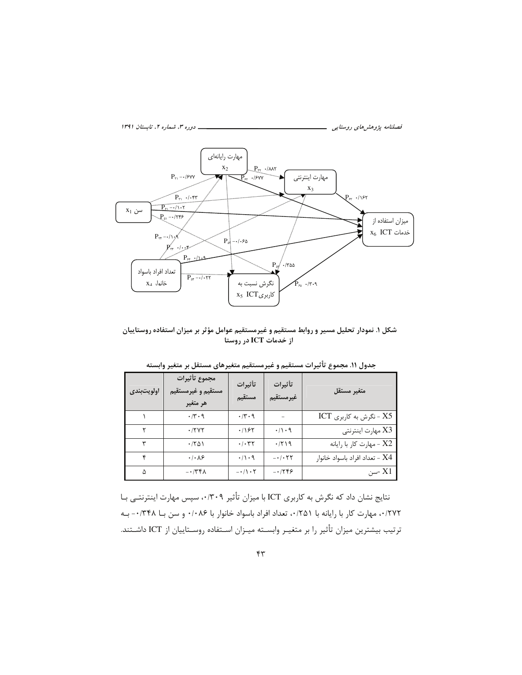

شکل ۱. نمودار تحلیل مسیر و روابط مستقیم و غیرمستقیم عوامل مؤثر بر میزان استفاده روستاییان از خدمات ICT در روستا

| اولويتبندى | مجموع تأثيرات<br>مستقيم و غيرمستقيم<br>هر متغير | تأثيرات<br>مستقيم    | تأثيرات<br>غير مستقيم  | متغير مستقل                    |
|------------|-------------------------------------------------|----------------------|------------------------|--------------------------------|
|            | $\cdot$ /۳ $\cdot$ 9                            | $\cdot$ /۳ $\cdot$ 9 |                        | ICT - نگرش به کاربری $X5$      |
|            | .7777                                           | ۰/۱۶۲                | $\cdot/\cdot$ 9        | X3 مهارت اينترنتي              |
|            | $\cdot$ /۲۵۱                                    | $\cdot/\cdot$ ۳۲     | .7719                  | X2 - مهارت كار با رايانه       |
|            | $\cdot$ / $\cdot$ $\wedge$ $\circ$              | $\cdot/\cdot$ 9      | $- \cdot / \cdot \tau$ | X4 - تعداد افراد باسواد خانوار |
| ۵          | $-\cdot$ /۳۴۸                                   | $-\cdot/\cdot 7$     | $-1799$                | X1 -سن                         |

جدول ١١. مجموع تأثيرات مستقيم و غيرمستقيم متغيرهاي مستقل بر متغير وابسته

نتایج نشان داد که نگرش به کاربری ICT با میزان تأثیر ۰/۳۰۹، سپس مهارت اینترنتی بـا ٠/٢٧٢، مهارت كار با رايانه با ٢۵١/٠، تعداد افراد باسواد خانوار با ٠/٠٨۶ و سن بــا ٠/٣۴٨- بــه ترتيب بيشترين ميزان تأثير را بر متغيـر وابسـته ميـزان اسـتفاده روسـتاييان از ICT داشـتند.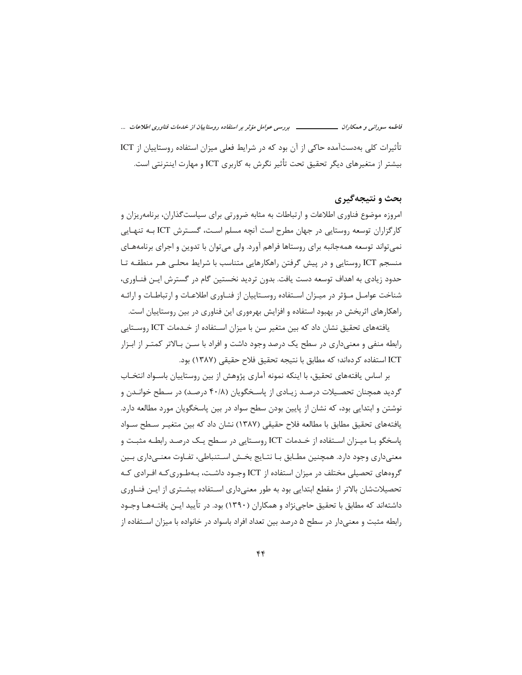فاطمه سورانی و همکاران ـــــــــــــــــــ بررسی عوامل مؤثر بر استفاده روستاییان از خدمات فناوری اطلاعات ... تأثیرات کلی بهدستآمده حاکی از آن بود که در شرایط فعلی میزان استفاده روستاییان از ICT بیشتر از متغیرهای دیگر تحقیق تحت تأثیر نگرش به کاربری ICT و مهارت اینترنتی است.

#### يحث و نتيجهگيري

امروزه موضوع فناوری اطلاعات و ارتباطات به مثابه ضرورتی برای سیاست گذاران، برنامهریزان و کارگزاران توسعه روستایی در جهان مطرح است آنچه مسلم اسـت، گسـترش ICT بـه تنهـایی نمی تواند توسعه همهجانبه برای روستاها فراهم آورد. ولی می توان با تدوین و اجرای برنامههـای منسجم ICT روستایی و در پیش گرفتن راهکارهایی متناسب با شرایط محلبی هـر منطقـه تـا حدود زیادی به اهداف توسعه دست یافت. بدون تردید نخستین گام در گسترش ایـن فنــاوری، شناخت عوامـل مـؤثر در ميـزان اسـتفاده روسـتاييان از فنـاوري اطلاعـات و ارتباطـات و ارائـه راهکارهای اثربخش در بهبود استفاده و افزایش بهرهوری این فناوری در بین روستاییان است.

یافتههای تحقیق نشان داد که بین متغیر سن با میزان اسـتفاده از خــدمات ICT روســتایی رابطه منفی و معنیداری در سطح یک درصد وجود داشت و افراد با سـن بـالاتر کمتـر از ابـزار ICT استفاده كردهاند؛ كه مطابق با نتيجه تحقيق فلاح حقيقى (١٣٨٧) بود.

بر اساس یافتههای تحقیق، با اینکه نمونه آماری پژوهش از بین روستاییان باسـواد انتخـاب گردید همچنان تحصـیلات درصـد زیـادی از پاسـخگویان (۴۰/۸ درصـد) در سـطح خوانـدن و نوشتن و ابتدایی بود، که نشان از پایین بودن سطح سواد در بین پاسخگویان مورد مطالعه دارد. یافتههای تحقیق مطابق با مطالعه فلاح حقیقی (۱۳۸۷) نشان داد که بین متغیـر سـطح سـواد پاسخگو بـا ميـزان اسـتفاده از خـدمات ICT روسـتايي در سـطح يـک درصـد رابطـه مثبـت و معنی داری وجود دارد. همچنین مطـابق بـا نتـایج بخـش اسـتنباطی، تفـاوت معنـی داری بـین گروههای تحصیلی مختلف در میزان استفاده از ICT وجـود داشـت، بـهطـوری کـه افـرادی کـه تحصیلاتشان بالاتر از مقطع ابتدایی بود به طور معنیداری اسـتفاده بیشـتری از ایـن فنـاوری داشتهاند که مطابق با تحقیق حاجی;نژاد و همکاران (۱۳۹۰) بود. در تأیید ایـن یافتـههـا وجـود رابطه مثبت و معنی دار در سطح ۵ درصد بین تعداد افراد باسواد در خانواده با میزان اسـتفاده از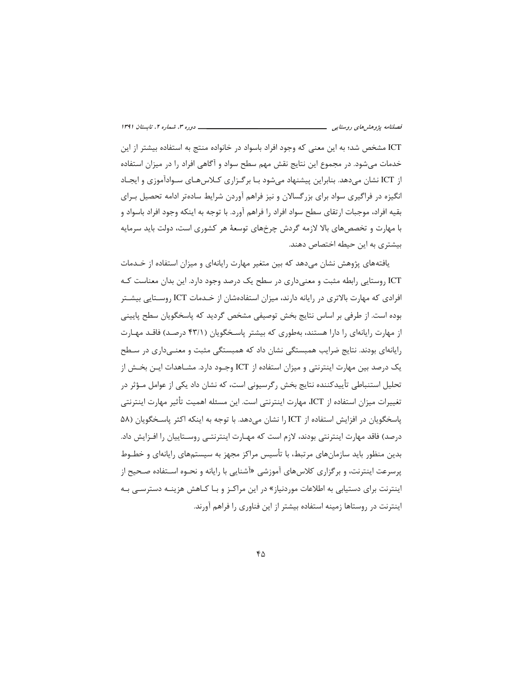ICT مشخص شد؛ به این معنی که وجود افراد باسواد در خانواده منتج به استفاده بیشتر از این خدمات می شود. در مجموع این نتایج نقش مهم سطح سواد و آگاهی افراد را در میزان استفاده از ICT نشان میدهد. بنابراین پیشنهاد می شود بـا برگـزاری کـلاس۱هـای سـوادآموزی و ایجـاد انگیزه در فراگیری سواد برای بزرگسالان و نیز فراهم آوردن شرایط سادهتر ادامه تحصیل بـرای بقیه افراد، موجبات ارتقای سطح سواد افراد را فراهم آورد. با توجه به اینکه وجود افراد باسواد و با مهارت و تخصصهای بالا لازمه گردش چرخهای توسعهٔ هر کشوری است، دولت باید سرمایه بیشتری به این حیطه اختصاص دهند.

یافتههای پژوهش نشان میدهد که بین متغیر مهارت رایانهای و میزان استفاده از خـدمات ICT روستایی رابطه مثبت و معنیداری در سطح یک درصد وجود دارد. این بدان معناست کـه افرادی که مهارت بالاتری در رایانه دارند، میزان استفادهشان از خـدمات ICT روسـتایی بیشـتر بوده است. از طرفی بر اساس نتایج بخش توصیفی مشخص گردید که پاسخگویان سطح پایینی از مهارت رایانهای را دارا هستند، بهطوری که بیشتر پاسخگویان (۴۳/۱ درصد) فاقد مهارت رایانهای بودند. نتایج ضرایب همبستگی نشان داد که همبستگی مثبت و معنـی۱داری در سـطح یک درصد بین مهارت اینترنتی و میزان استفاده از ICT وجـود دارد. مشـاهدات ایــن بخــش از تحلیل استنباطی تأییدکننده نتایج بخش رگرسیونی است، که نشان داد یکی از عوامل مـؤثر در تغييرات ميزان استفاده از ICT، مهارت اينترنتي است. اين مسئله اهميت تأثير مهارت اينترنتي ياسخگويان در افزايش استفاده از ICT را نشان مي دهد. با توجه به اينكه اكثر ياسـخگويان (۵۸ درصد) فاقد مهارت اینترنتی بودند، لازم است که مهـارت اینترنتـی روسـتاییان را افـزایش داد. بدین منظور باید سازمانهای مرتبط، با تأسیس مراکز مجهز به سیستمهای رایانهای و خطـوط پرسرعت اینترنت، و برگزاری کلاسهای آموزشی «آشنایی با رایانه و نحـوه اسـتفاده صـحیح از اینترنت برای دستیابی به اطلاعات موردنیاز» در این مراکـز و بـا کـاهش هزینــه دسترســی بـه اینترنت در روستاها زمینه استفاده بیشتر از این فناوری را فراهم آورند.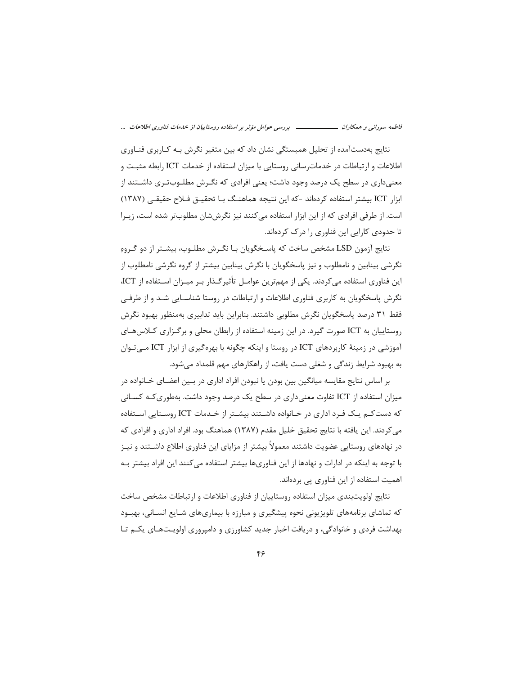فاطمه سورانی و همکاران ـــــــــــــــــــ بررسی عوامل مؤثر بر استفاده روستاییان از خدمات فناوری اطلاعات ...

نتایج بهدستآمده از تحلیل همبستگی نشان داد که بین متغیر نگرش بـه کـاربری فنـاوری اطلاعات و ارتباطات در خدمات سانی روستایی با میزان استفاده از خدمات ICT رابطه مثبـت و معنیداری در سطح یک درصد وجود داشت؛ یعنی افرادی که نگـرش مطلـوب-تـری داشـتند از ابزار ICT بیشتر استفاده کردهاند -که این نتیجه هماهنـگ بـا تحقیــق فـلاح حقیقــی (۱۳۸۷) است. از طرفی افرادی که از این ابزار استفاده می کنند نیز نگرششان مطلوبتر شده است، زیـرا تا حدودی کارایی این فناوری را درک کردهاند.

نتايج آزمون LSD مشخص ساخت كه پاسـخگويان بـا نگـرش مطلـوب، بيشـتر از دو گـروهِ نگرشی بینابین و نامطلوب و نیز پاسخگویان با نگرش بینابین بیشتر از گروه نگرشی نامطلوب از این فناوری استفاده می کردند. یکی از مهمترین عوامـل تأثیر *گ*ـذار بـر میـزان اسـتفاده از ICT، نگرش پاسخگویان به کاربری فناوری اطلاعات و ارتباطات در روستا شناسـایی شـد و از طرفـی فقط ٣١ درصد پاسخگویان نگرش مطلوبی داشتند. بنابراین باید تدابیری بهمنظور بهبود نگرش روستاییان به ICT صورت گیرد. در این زمینه استفاده از رابطان محلی و برگـزاری كـلاسهـای آموزشی در زمینهٔ کاربردهای ICT در روستا و اینکه چگونه با بهرهگیری از ابزار ICT مـیتـوان به بهبود شرایط زندگی و شغلی دست یافت، از راهکارهای مهم قلمداد میشود.

بر اساس نتایج مقایسه میانگین بین بودن یا نبودن افراد اداری در بـین اعضـای خــانواده در میزان استفاده از ICT تفاوت معنی داری در سطح یک درصد وجود داشت. بهطوری *ک*ـه کســانی که دست کـم یـک فـرد اداری در خـانواده داشـتند بیشـتر از خـدمات ICT روسـتایی اسـتفاده می کردند. این یافته با نتایج تحقیق خلیل مقدم (۱۳۸۷) هماهنگ بود. افراد اداری و افرادی که در نهادهای روستایی عضویت داشتند معمولاً بیشتر از مزایای این فناوری اطلاع داشــتند و نیــز با توجه به اینکه در ادارات و نهادها از این فناوریها بیشتر استفاده می کنند این افراد بیشتر بـه اهمیت استفاده از این فناوری پی بردهاند.

نتايج اولويتبندى ميزان استفاده روستاييان از فناورى اطلاعات و ارتباطات مشخص ساخت که تماشای برنامههای تلویزیونی نحوه پیشگیری و مبارزه با بیماریهای شــایع انســانی، بهبــود بهداشت فردی و خانوادگی، و دریافت اخبار جدید کشاورزی و دامپروری اولویـتهـای یکـم تـا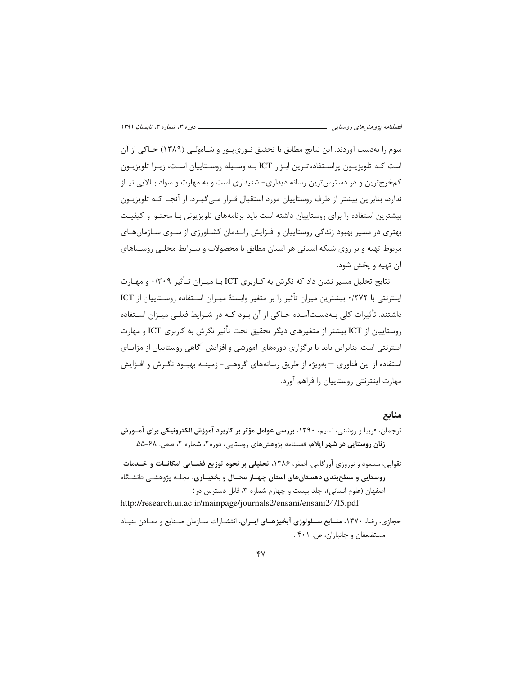سوم را بهدست آوردند. این نتایج مطابق با تحقیق نـوری.پـور و شـاهولـی (۱۳۸۹) حــاکی از آن است کـه تلویزیـون پراسـتفادهتـرین ابـزار ICT بـه وســیله روسـتاییان اسـت، زیـرا تلویزیـون کمخرج ترین و در دسترس ترین رسانه دیداری- شنیداری است و به مهارت و سواد بالایی نیـاز ندارد، بنابراین بیشتر از طرف روستاییان مورد استقبال قـرار مـی6کیـرد. از آنجـا کـه تلویزیـون بیشترین استفاده را برای روستاییان داشته است باید برنامههای تلویزیونی بـا محتـوا و کیفیـت بهتری در مسیر بهبود زندگی روستاییان و افـزایش رانـدمان کشـاورزی از سـوی سـازمانهـای مربوط تهيه و بر روى شبكه استانى هر استان مطابق با محصولات و شـرايط محلـى روسـتاهاى آن تهيه و يخش شود.

نتایج تحلیل مسیر نشان داد که نگرش به کـاربری ICT بـا میـزان تـأثیر ۰/۳۰۹ و مهـا,ت اینترنتی با ۰/۲۷۲ بیشترین میزان تأثیر را بر متغیر وابستهٔ میـزان اسـتفاده روسـتاییان از ICT داشتند. تأثیرات کلی بـهدسـتآمـده حـاکی از آن بـود کـه در شـرایط فعلـی میـزان اسـتفاده روستاييان از ICT بيشتر از متغيرهاي ديگر تحقيق تحت تأثير نگرش به كاربري ICT و مهارت اینترنتی است. بنابراین باید با برگزاری دورههای آموزشی و افزایش آگاهی روستاییان از مزایـای استفاده از این فناوری — بهویژه از طریق رسانههای گروهے- زمینــه بهبــود نگــرش و افــزایش مهارت اینترنتی روستاییان را فراهم آورد.

## منابع

- ترجمان، فریبا و روشنی، نسیم، ۱۳۹۰، بررسی عوامل مؤثر بر کاربرد آموزش الکترونیکی برای آمـوزش زنان روستایی در شهر ایلام، فصلنامه پژوهشهای روستایی، دوره۲، شماره ۲، صص. ۶۸-۵۵.
- تقوایی، مسعود و نوروزی آورگامی، اصغر، ۱۳۸۶، تحلیلی بر نحوه توزیع فضـایی امکانــات و خــدمات روستایی و سطحبندی دهستانهای استان چهـار محـال و بختیــاری، مجلـه پژوهشـی دانشـگاه اصفهان (علوم انسانی)، جلد بیست و چهارم شماره ۳، قابل دسترس در:

http://research.ui.ac.ir/mainpage/journals2/ensani/ensani24/f5.pdf

حجازی، رضا، ۱۳۷۰، م**نــابع ســلولوزی آبخیزهــای ایــران**، انتشـارات سـازمان صـنایع و معــادن بنیــاد مستضعفان و جانبازان، ص. ۴۰۱.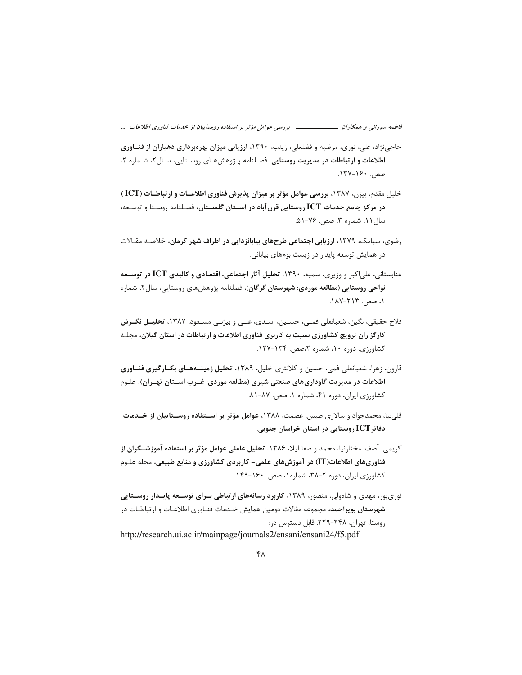فاطمه سورانی و همکاران ـــــــــــــــــــ بررسی عوامل مؤثر بر استفاده روستاییان از خدمات فناوری اطلاعات ...

- حاجی نژاد، علی، نوری، مرضیه و فضلعلی، زینب، ۱۳۹۰، ارزیابی میزان بهرهبرداری دهیاران از فنساوری اطلاعات و ارتباطات در مدیریت روستایی، فصلنامه پیژوهش های روستایی، سال۲، شیماره ۲، صص. ۱۶۰-۱۳۷.
- خلیل مقدم، بیژن، ۱۳۸۷، بررسی عوامل مؤثر بر میزان پذیرش فناوری اطلاعـات و ارتباطـات (ICT) در مرکز جامع خدمات ICT روستایی قرن آباد در اسـتان گلسـتان، فصـلنامه روسـتا و توسـعه، سال ۱۱، شماره ۳، صص. ۷۶-۵۱.
- رضوی، سیامک، ۱۳۷۹، ارزیابی اجتماعی طرحهای بیابانزدایی در اطراف شهر کرمان، خلاصـه مقـالات در همایش توسعه پایدار در زیست بومهای بیابانی.
- عنابستانی، علی|کبر و وزیری، سمیه، ۱۳۹۰، تحلیل آثار اجتماعی، اقتصادی و کالبدی ICT در توســعه **نواحی روستایی (مطالعه موردی: شهرستان گرگان**)، فصلنامه پژوهشهای روستایی، سال ۲، شماره ۰۱، صص. ۲۱۳-۱۸۷.
- فلاح حقيقى، نگين، شعبانعلى فمـى، حسـين، اسـدى، علـى و بيژنـى مسـعود، ١٣٨٧، تحليـل نگــرش کارگزاران ترویج کشاورزی نسبت به کاربری فناوری اطلاعات و ارتباطات در استان گیلان، مجلـه کشاورزی، دوره ۱۰، شماره ۲،صص. ۱۳۴-۱۲۷.
- قارون، زهرا، شعبانعلی فمی، حسین و کلانتری خلیل، ۱۳۸۹، تحلیل زمینــههــای بکــارگیری فنــاوری اطلاعات در مدیریت گاوداریهای صنعتی شیری (مطالعه موردی: غــرب اســتان تهــران)، علـوم کشاورزی ایران، دوره ۴۱، شماره ۱. صص. ۸۷-۸۱.
- قلی نیا، محمدجواد و سالاری طبس، عصمت، ۱۳۸۸، عوامل مؤثر بر اســتفاده روســتاییان از خــدمات دفاتر ICT روستایی در استان خراسان جنوبی.
- كريمي، آصف، مختارنيا، محمد و صفا ليلا، ١٣٨۶، تحليل عاملي عوامل مؤثر بر استفاده آموزشــگران از فناوریهای اطلاعات(IT) در آموزشهای علمی- کاربردی کشاورزی و منابع طبیعی، مجله علـوم کشاورزی ایران، دوره ۲-۳۸، شماره ۱، صص. ۱۶۰-۱۴۹.
- نوریپور، مهدی و شاهولی، منصور، ۱۳۸۹، کاربرد رسانههای ارتباطی بـرای توســعه پایــدار روســتایی **شهرستان بویراحمد،** مجموعه مقالات دومین همایش خـدمات فنـاوری اطلاعـات و ارتباطـات در روستا، تهران، ۲۴۸–۲۲۹. قابل دسترس در:

http://research.ui.ac.ir/mainpage/journals2/ensani/ensani24/f5.pdf